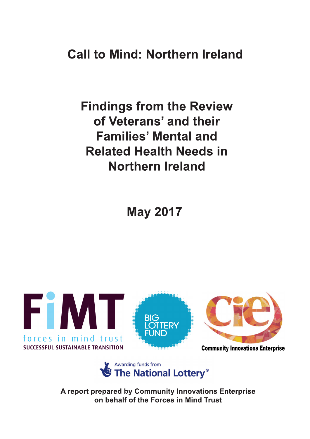# **Call to Mind: Northern Ireland**

**Findings from the Review** of Veterans' and their **Families' Mental and Related Health Needs in Northern Ireland** 

**May 2017** 







**Community Innovations Enterprise** 



A report prepared by Community Innovations Enterprise on behalf of the Forces in Mind Trust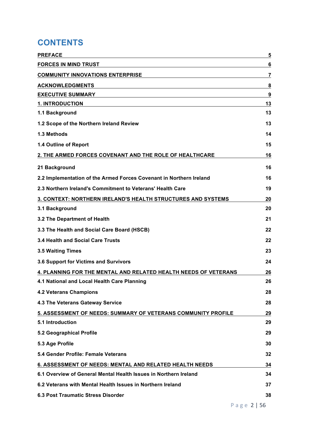# **CONTENTS**

| <b>PREFACE</b><br><u> 1989 - Johann Stoff, amerikansk politiker (d. 1989)</u>                                                                   | 5              |
|-------------------------------------------------------------------------------------------------------------------------------------------------|----------------|
| <b>FORCES IN MIND TRUST</b>                                                                                                                     | 6              |
| COMMUNITY INNOVATIONS ENTERPRISE                                                                                                                | $\overline{7}$ |
| <b>ACKNOWLEDGMENTS</b>                                                                                                                          | 8              |
| <b>EXECUTIVE SUMMARY</b>                                                                                                                        | 9              |
| <b>1. INTRODUCTION</b><br><u> 1989 - Johann Stoff, deutscher Stoff, der Stoff, der Stoff, der Stoff, der Stoff, der Stoff, der Stoff, der S</u> | 13             |
| 1.1 Background                                                                                                                                  | 13             |
| 1.2 Scope of the Northern Ireland Review                                                                                                        | 13             |
| 1.3 Methods                                                                                                                                     | 14             |
| 1.4 Outline of Report                                                                                                                           | 15             |
| 2. THE ARMED FORCES COVENANT AND THE ROLE OF HEALTHCARE                                                                                         | 16             |
| 21 Background                                                                                                                                   | 16             |
| 2.2 Implementation of the Armed Forces Covenant in Northern Ireland                                                                             | 16             |
| 2.3 Northern Ireland's Commitment to Veterans' Health Care                                                                                      | 19             |
| 3. CONTEXT: NORTHERN IRELAND'S HEALTH STRUCTURES AND SYSTEMS                                                                                    | 20             |
| 3.1 Background                                                                                                                                  | 20             |
| 3.2 The Department of Health                                                                                                                    | 21             |
| 3.3 The Health and Social Care Board (HSCB)                                                                                                     | 22             |
| 3.4 Health and Social Care Trusts                                                                                                               | 22             |
| 3.5 Waiting Times                                                                                                                               | 23             |
| 3.6 Support for Victims and Survivors                                                                                                           | 24             |
| 4. PLANNING FOR THE MENTAL AND RELATED HEALTH NEEDS OF VETERANS                                                                                 | 26             |
| 4.1 National and Local Health Care Planning                                                                                                     | 26             |
| <b>4.2 Veterans Champions</b>                                                                                                                   | 28             |
| 4.3 The Veterans Gateway Service                                                                                                                | 28             |
| 5. ASSESSMENT OF NEEDS: SUMMARY OF VETERANS COMMUNITY PROFILE                                                                                   | 29             |
| 5.1 Introduction                                                                                                                                | 29             |
| 5.2 Geographical Profile                                                                                                                        | 29             |
| 5.3 Age Profile                                                                                                                                 | 30             |
| 5.4 Gender Profile: Female Veterans                                                                                                             | 32             |
| <b>6. ASSESSMENT OF NEEDS: MENTAL AND RELATED HEALTH NEEDS</b>                                                                                  | 34             |
| 6.1 Overview of General Mental Health Issues in Northern Ireland                                                                                | 34             |
| 6.2 Veterans with Mental Health Issues in Northern Ireland                                                                                      | 37             |
| <b>6.3 Post Traumatic Stress Disorder</b>                                                                                                       | 38             |
|                                                                                                                                                 |                |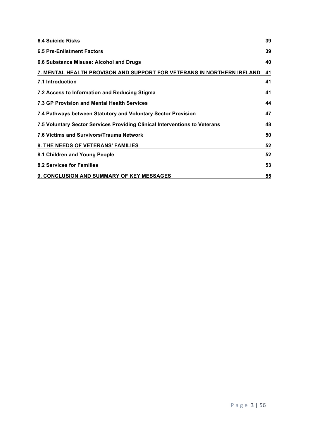| <b>6.4 Suicide Risks</b>                                                   | 39 |
|----------------------------------------------------------------------------|----|
| 6.5 Pre-Enlistment Factors                                                 | 39 |
| 6.6 Substance Misuse: Alcohol and Drugs                                    | 40 |
| 7. MENTAL HEALTH PROVISON AND SUPPORT FOR VETERANS IN NORTHERN IRELAND     | 41 |
| 7.1 Introduction                                                           | 41 |
| 7.2 Access to Information and Reducing Stigma                              | 41 |
| 7.3 GP Provision and Mental Health Services                                | 44 |
| 7.4 Pathways between Statutory and Voluntary Sector Provision              | 47 |
| 7.5 Voluntary Sector Services Providing Clinical Interventions to Veterans | 48 |
| 7.6 Victims and Survivors/Trauma Network                                   | 50 |
| <b>8. THE NEEDS OF VETERANS' FAMILIES</b>                                  | 52 |
| 8.1 Children and Young People                                              | 52 |
| 8.2 Services for Families                                                  | 53 |
| <b>9. CONCLUSION AND SUMMARY OF KEY MESSAGES</b>                           | 55 |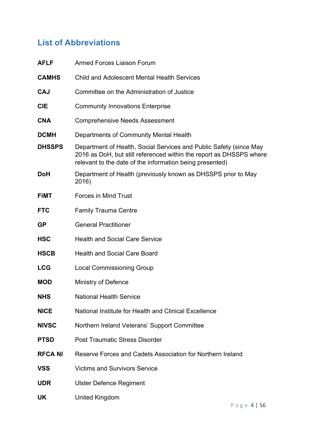# **List of Abbreviations**

| <b>AFLF</b>    | <b>Armed Forces Liaison Forum</b>                                                                                                                                                                     |
|----------------|-------------------------------------------------------------------------------------------------------------------------------------------------------------------------------------------------------|
| <b>CAMHS</b>   | <b>Child and Adolescent Mental Health Services</b>                                                                                                                                                    |
| <b>CAJ</b>     | Committee on the Administration of Justice                                                                                                                                                            |
| <b>CIE</b>     | <b>Community Innovations Enterprise</b>                                                                                                                                                               |
| <b>CNA</b>     | <b>Comprehensive Needs Assessment</b>                                                                                                                                                                 |
| <b>DCMH</b>    | Departments of Community Mental Health                                                                                                                                                                |
| <b>DHSSPS</b>  | Department of Health, Social Services and Public Safety (since May<br>2016 as DoH, but still referenced within the report as DHSSPS where<br>relevant to the date of the information being presented) |
| <b>DoH</b>     | Department of Health (previously known as DHSSPS prior to May<br>2016)                                                                                                                                |
| <b>FIMT</b>    | <b>Forces in Mind Trust</b>                                                                                                                                                                           |
| <b>FTC</b>     | <b>Family Trauma Centre</b>                                                                                                                                                                           |
| GP             | <b>General Practitioner</b>                                                                                                                                                                           |
| <b>HSC</b>     | <b>Health and Social Care Service</b>                                                                                                                                                                 |
| <b>HSCB</b>    | <b>Health and Social Care Board</b>                                                                                                                                                                   |
| <b>LCG</b>     | <b>Local Commissioning Group</b>                                                                                                                                                                      |
| <b>MOD</b>     | <b>Ministry of Defence</b>                                                                                                                                                                            |
| <b>NHS</b>     | <b>National Health Service</b>                                                                                                                                                                        |
| <b>NICE</b>    | National Institute for Health and Clinical Excellence                                                                                                                                                 |
| <b>NIVSC</b>   | Northern Ireland Veterans' Support Committee                                                                                                                                                          |
| <b>PTSD</b>    | <b>Post Traumatic Stress Disorder</b>                                                                                                                                                                 |
| <b>RFCA NI</b> | Reserve Forces and Cadets Association for Northern Ireland                                                                                                                                            |
| VSS            | <b>Victims and Survivors Service</b>                                                                                                                                                                  |
| <b>UDR</b>     | <b>Ulster Defence Regiment</b>                                                                                                                                                                        |
| UK             | <b>United Kingdom</b>                                                                                                                                                                                 |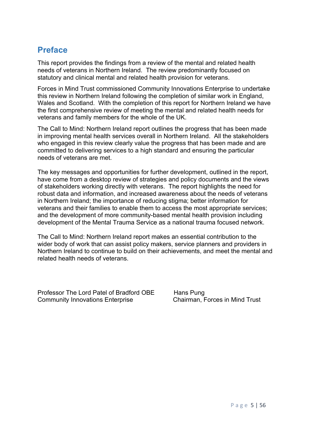# **Preface**

This report provides the findings from a review of the mental and related health needs of veterans in Northern Ireland. The review predominantly focused on statutory and clinical mental and related health provision for veterans.

Forces in Mind Trust commissioned Community Innovations Enterprise to undertake this review in Northern Ireland following the completion of similar work in England, Wales and Scotland. With the completion of this report for Northern Ireland we have the first comprehensive review of meeting the mental and related health needs for veterans and family members for the whole of the UK.

The Call to Mind: Northern Ireland report outlines the progress that has been made in improving mental health services overall in Northern Ireland. All the stakeholders who engaged in this review clearly value the progress that has been made and are committed to delivering services to a high standard and ensuring the particular needs of veterans are met.

The key messages and opportunities for further development, outlined in the report, have come from a desktop review of strategies and policy documents and the views of stakeholders working directly with veterans. The report highlights the need for robust data and information, and increased awareness about the needs of veterans in Northern Ireland; the importance of reducing stigma; better information for veterans and their families to enable them to access the most appropriate services; and the development of more community-based mental health provision including development of the Mental Trauma Service as a national trauma focused network.

The Call to Mind: Northern Ireland report makes an essential contribution to the wider body of work that can assist policy makers, service planners and providers in Northern Ireland to continue to build on their achievements, and meet the mental and related health needs of veterans.

Professor The Lord Patel of Bradford OBE Hans Pung Community Innovations Enterprise Chairman, Forces in Mind Trust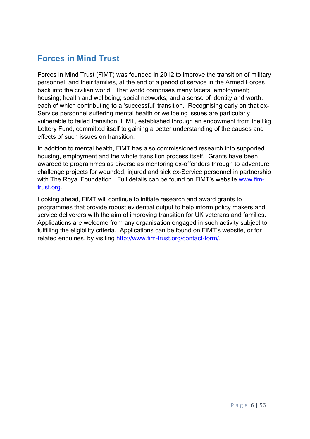# **Forces in Mind Trust**

Forces in Mind Trust (FiMT) was founded in 2012 to improve the transition of military personnel, and their families, at the end of a period of service in the Armed Forces back into the civilian world. That world comprises many facets: employment; housing; health and wellbeing; social networks; and a sense of identity and worth, each of which contributing to a 'successful' transition. Recognising early on that ex-Service personnel suffering mental health or wellbeing issues are particularly vulnerable to failed transition, FiMT, established through an endowment from the Big Lottery Fund, committed itself to gaining a better understanding of the causes and effects of such issues on transition.

In addition to mental health, FiMT has also commissioned research into supported housing, employment and the whole transition process itself. Grants have been awarded to programmes as diverse as mentoring ex-offenders through to adventure challenge projects for wounded, injured and sick ex-Service personnel in partnership with The Royal Foundation. Full details can be found on FiMT's website www.fimtrust.org.

Looking ahead, FiMT will continue to initiate research and award grants to programmes that provide robust evidential output to help inform policy makers and service deliverers with the aim of improving transition for UK veterans and families. Applications are welcome from any organisation engaged in such activity subject to fulfilling the eligibility criteria. Applications can be found on FiMT's website, or for related enquiries, by visiting http://www.fim-trust.org/contact-form/.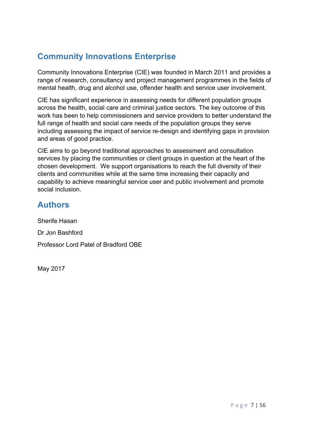# **Community Innovations Enterprise**

Community Innovations Enterprise (CIE) was founded in March 2011 and provides a range of research, consultancy and project management programmes in the fields of mental health, drug and alcohol use, offender health and service user involvement.

CIE has significant experience in assessing needs for different population groups across the health, social care and criminal justice sectors. The key outcome of this work has been to help commissioners and service providers to better understand the full range of health and social care needs of the population groups they serve including assessing the impact of service re-design and identifying gaps in provision and areas of good practice.

CIE aims to go beyond traditional approaches to assessment and consultation services by placing the communities or client groups in question at the heart of the chosen development. We support organisations to reach the full diversity of their clients and communities while at the same time increasing their capacity and capability to achieve meaningful service user and public involvement and promote social inclusion.

# **Authors**

Sherife Hasan Dr Jon Bashford Professor Lord Patel of Bradford OBE

May 2017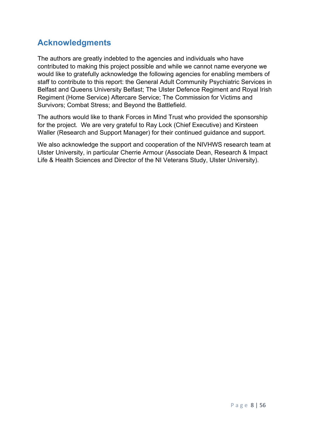# **Acknowledgments**

The authors are greatly indebted to the agencies and individuals who have contributed to making this project possible and while we cannot name everyone we would like to gratefully acknowledge the following agencies for enabling members of staff to contribute to this report: the General Adult Community Psychiatric Services in Belfast and Queens University Belfast; The Ulster Defence Regiment and Royal Irish Regiment (Home Service) Aftercare Service; The Commission for Victims and Survivors; Combat Stress; and Beyond the Battlefield.

The authors would like to thank Forces in Mind Trust who provided the sponsorship for the project. We are very grateful to Ray Lock (Chief Executive) and Kirsteen Waller (Research and Support Manager) for their continued guidance and support.

We also acknowledge the support and cooperation of the NIVHWS research team at Ulster University, in particular Cherrie Armour (Associate Dean, Research & Impact Life & Health Sciences and Director of the NI Veterans Study, Ulster University).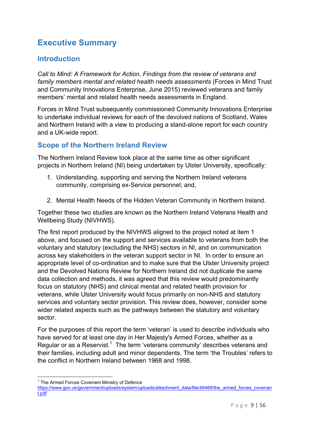# **Executive Summary**

#### **Introduction**

*Call to Mind: A Framework for Action. Findings from the review of veterans and family members mental and related health needs assessments* (Forces in Mind Trust and Community Innovations Enterprise, June 2015) reviewed veterans and family members' mental and related health needs assessments in England.

Forces in Mind Trust subsequently commissioned Community Innovations Enterprise to undertake individual reviews for each of the devolved nations of Scotland, Wales and Northern Ireland with a view to producing a stand-alone report for each country and a UK-wide report.

#### **Scope of the Northern Ireland Review**

The Northern Ireland Review took place at the same time as other significant projects in Northern Ireland (NI) being undertaken by Ulster University, specifically:

- 1. Understanding, supporting and serving the Northern Ireland veterans community, comprising ex-Service personnel; and,
- 2. Mental Health Needs of the Hidden Veteran Community in Northern Ireland.

Together these two studies are known as the Northern Ireland Veterans Health and Wellbeing Study (NIVHWS).

The first report produced by the NIVHWS aligned to the project noted at item 1 above, and focused on the support and services available to veterans from both the voluntary and statutory (excluding the NHS) sectors in NI, and on communication across key stakeholders in the veteran support sector in NI. In order to ensure an appropriate level of co-ordination and to make sure that the Ulster University project and the Devolved Nations Review for Northern Ireland did not duplicate the same data collection and methods, it was agreed that this review would predominantly focus on statutory (NHS) and clinical mental and related health provision for veterans, while Ulster University would focus primarily on non-NHS and statutory services and voluntary sector provision. This review does, however, consider some wider related aspects such as the pathways between the statutory and voluntary sector.

For the purposes of this report the term 'veteran' is used to describe individuals who have served for at least one day in Her Majesty's Armed Forces, whether as a Regular or as a Reservist.<sup>1</sup> The term 'veterans community' describes veterans and their families, including adult and minor dependents. The term 'the Troubles' refers to the conflict in Northern Ireland between 1968 and 1998.

<sup>&</sup>lt;sup>1</sup> The Armed Forces Covenant Ministry of Defence

https://www.gov.uk/government/uploads/system/uploads/attachment\_data/file/49469/the\_armed\_forces\_covenan t.pdf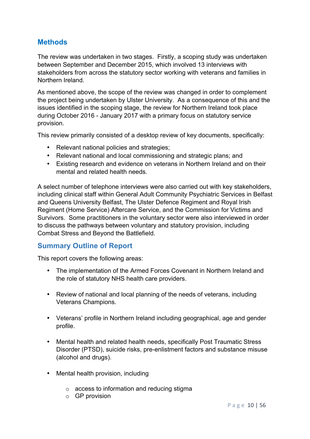#### **Methods**

The review was undertaken in two stages. Firstly, a scoping study was undertaken between September and December 2015, which involved 13 interviews with stakeholders from across the statutory sector working with veterans and families in Northern Ireland.

As mentioned above, the scope of the review was changed in order to complement the project being undertaken by Ulster University. As a consequence of this and the issues identified in the scoping stage, the review for Northern Ireland took place during October 2016 - January 2017 with a primary focus on statutory service provision.

This review primarily consisted of a desktop review of key documents, specifically:

- Relevant national policies and strategies;
- Relevant national and local commissioning and strategic plans; and
- Existing research and evidence on veterans in Northern Ireland and on their mental and related health needs.

A select number of telephone interviews were also carried out with key stakeholders, including clinical staff within General Adult Community Psychiatric Services in Belfast and Queens University Belfast, The Ulster Defence Regiment and Royal Irish Regiment (Home Service) Aftercare Service, and the Commission for Victims and Survivors. Some practitioners in the voluntary sector were also interviewed in order to discuss the pathways between voluntary and statutory provision, including Combat Stress and Beyond the Battlefield.

#### **Summary Outline of Report**

This report covers the following areas:

- The implementation of the Armed Forces Covenant in Northern Ireland and the role of statutory NHS health care providers.
- Review of national and local planning of the needs of veterans, including Veterans Champions.
- Veterans' profile in Northern Ireland including geographical, age and gender profile.
- Mental health and related health needs, specifically Post Traumatic Stress Disorder (PTSD), suicide risks, pre-enlistment factors and substance misuse (alcohol and drugs).
- Mental health provision, including
	- $\circ$  access to information and reducing stigma
	- o GP provision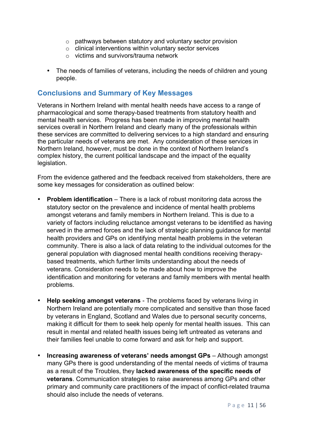- o pathways between statutory and voluntary sector provision
- o clinical interventions within voluntary sector services
- o victims and survivors/trauma network
- The needs of families of veterans, including the needs of children and young people.

### **Conclusions and Summary of Key Messages**

Veterans in Northern Ireland with mental health needs have access to a range of pharmacological and some therapy-based treatments from statutory health and mental health services. Progress has been made in improving mental health services overall in Northern Ireland and clearly many of the professionals within these services are committed to delivering services to a high standard and ensuring the particular needs of veterans are met. Any consideration of these services in Northern Ireland, however, must be done in the context of Northern Ireland's complex history, the current political landscape and the impact of the equality legislation.

From the evidence gathered and the feedback received from stakeholders, there are some key messages for consideration as outlined below:

- **Problem identification** There is a lack of robust monitoring data across the statutory sector on the prevalence and incidence of mental health problems amongst veterans and family members in Northern Ireland. This is due to a variety of factors including reluctance amongst veterans to be identified as having served in the armed forces and the lack of strategic planning guidance for mental health providers and GPs on identifying mental health problems in the veteran community. There is also a lack of data relating to the individual outcomes for the general population with diagnosed mental health conditions receiving therapybased treatments, which further limits understanding about the needs of veterans. Consideration needs to be made about how to improve the identification and monitoring for veterans and family members with mental health problems.
- **Help seeking amongst veterans** The problems faced by veterans living in Northern Ireland are potentially more complicated and sensitive than those faced by veterans in England, Scotland and Wales due to personal security concerns, making it difficult for them to seek help openly for mental health issues. This can result in mental and related health issues being left untreated as veterans and their families feel unable to come forward and ask for help and support.
- **Increasing awareness of veterans' needs amongst GPs** Although amongst many GPs there is good understanding of the mental needs of victims of trauma as a result of the Troubles, they **lacked awareness of the specific needs of veterans**. Communication strategies to raise awareness among GPs and other primary and community care practitioners of the impact of conflict-related trauma should also include the needs of veterans.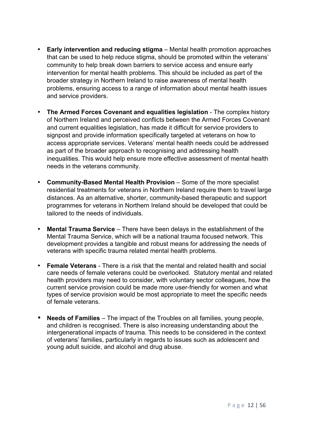- **Early intervention and reducing stigma**  Mental health promotion approaches that can be used to help reduce stigma, should be promoted within the veterans' community to help break down barriers to service access and ensure early intervention for mental health problems. This should be included as part of the broader strategy in Northern Ireland to raise awareness of mental health problems, ensuring access to a range of information about mental health issues and service providers.
- **The Armed Forces Covenant and equalities legislation** The complex history of Northern Ireland and perceived conflicts between the Armed Forces Covenant and current equalities legislation, has made it difficult for service providers to signpost and provide information specifically targeted at veterans on how to access appropriate services. Veterans' mental health needs could be addressed as part of the broader approach to recognising and addressing health inequalities. This would help ensure more effective assessment of mental health needs in the veterans community.
- **Community-Based Mental Health Provision** Some of the more specialist residential treatments for veterans in Northern Ireland require them to travel large distances. As an alternative, shorter, community-based therapeutic and support programmes for veterans in Northern Ireland should be developed that could be tailored to the needs of individuals.
- **Mental Trauma Service** There have been delays in the establishment of the Mental Trauma Service, which will be a national trauma focused network. This development provides a tangible and robust means for addressing the needs of veterans with specific trauma related mental health problems.
- **Female Veterans** There is a risk that the mental and related health and social care needs of female veterans could be overlooked. Statutory mental and related health providers may need to consider, with voluntary sector colleagues, how the current service provision could be made more user-friendly for women and what types of service provision would be most appropriate to meet the specific needs of female veterans.
- **Needs of Families** The impact of the Troubles on all families, young people, and children is recognised. There is also increasing understanding about the intergenerational impacts of trauma. This needs to be considered in the context of veterans' families, particularly in regards to issues such as adolescent and young adult suicide, and alcohol and drug abuse.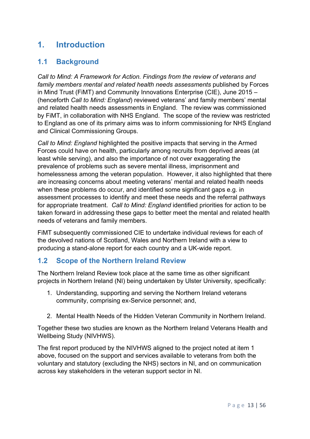# **1. Introduction**

### **1.1 Background**

*Call to Mind: A Framework for Action. Findings from the review of veterans and family members mental and related health needs assessments* published by Forces in Mind Trust (FiMT) and Community Innovations Enterprise (CIE), June 2015 – (henceforth *Call to Mind: England*) reviewed veterans' and family members' mental and related health needs assessments in England. The review was commissioned by FiMT, in collaboration with NHS England. The scope of the review was restricted to England as one of its primary aims was to inform commissioning for NHS England and Clinical Commissioning Groups.

*Call to Mind: England* highlighted the positive impacts that serving in the Armed Forces could have on health, particularly among recruits from deprived areas (at least while serving), and also the importance of not over exaggerating the prevalence of problems such as severe mental illness, imprisonment and homelessness among the veteran population. However, it also highlighted that there are increasing concerns about meeting veterans' mental and related health needs when these problems do occur, and identified some significant gaps e.g. in assessment processes to identify and meet these needs and the referral pathways for appropriate treatment. *Call to Mind: England* identified priorities for action to be taken forward in addressing these gaps to better meet the mental and related health needs of veterans and family members.

FiMT subsequently commissioned CIE to undertake individual reviews for each of the devolved nations of Scotland, Wales and Northern Ireland with a view to producing a stand-alone report for each country and a UK-wide report.

#### **1.2 Scope of the Northern Ireland Review**

The Northern Ireland Review took place at the same time as other significant projects in Northern Ireland (NI) being undertaken by Ulster University, specifically:

- 1. Understanding, supporting and serving the Northern Ireland veterans community, comprising ex-Service personnel; and,
- 2. Mental Health Needs of the Hidden Veteran Community in Northern Ireland.

Together these two studies are known as the Northern Ireland Veterans Health and Wellbeing Study (NIVHWS).

The first report produced by the NIVHWS aligned to the project noted at item 1 above, focused on the support and services available to veterans from both the voluntary and statutory (excluding the NHS) sectors in NI, and on communication across key stakeholders in the veteran support sector in NI.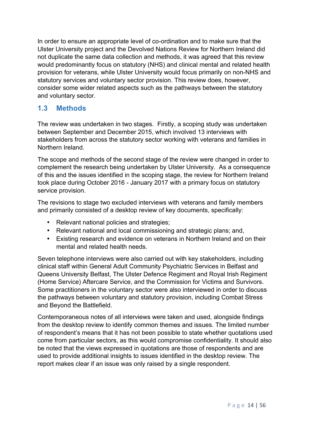In order to ensure an appropriate level of co-ordination and to make sure that the Ulster University project and the Devolved Nations Review for Northern Ireland did not duplicate the same data collection and methods, it was agreed that this review would predominantly focus on statutory (NHS) and clinical mental and related health provision for veterans, while Ulster University would focus primarily on non-NHS and statutory services and voluntary sector provision. This review does, however, consider some wider related aspects such as the pathways between the statutory and voluntary sector.

#### **1.3 Methods**

The review was undertaken in two stages. Firstly, a scoping study was undertaken between September and December 2015, which involved 13 interviews with stakeholders from across the statutory sector working with veterans and families in Northern Ireland.

The scope and methods of the second stage of the review were changed in order to complement the research being undertaken by Ulster University. As a consequence of this and the issues identified in the scoping stage, the review for Northern Ireland took place during October 2016 - January 2017 with a primary focus on statutory service provision.

The revisions to stage two excluded interviews with veterans and family members and primarily consisted of a desktop review of key documents, specifically:

- Relevant national policies and strategies;
- Relevant national and local commissioning and strategic plans; and,
- Existing research and evidence on veterans in Northern Ireland and on their mental and related health needs.

Seven telephone interviews were also carried out with key stakeholders, including clinical staff within General Adult Community Psychiatric Services in Belfast and Queens University Belfast, The Ulster Defence Regiment and Royal Irish Regiment (Home Service) Aftercare Service, and the Commission for Victims and Survivors. Some practitioners in the voluntary sector were also interviewed in order to discuss the pathways between voluntary and statutory provision, including Combat Stress and Beyond the Battlefield.

Contemporaneous notes of all interviews were taken and used, alongside findings from the desktop review to identify common themes and issues. The limited number of respondent's means that it has not been possible to state whether quotations used come from particular sectors, as this would compromise confidentiality. It should also be noted that the views expressed in quotations are those of respondents and are used to provide additional insights to issues identified in the desktop review. The report makes clear if an issue was only raised by a single respondent.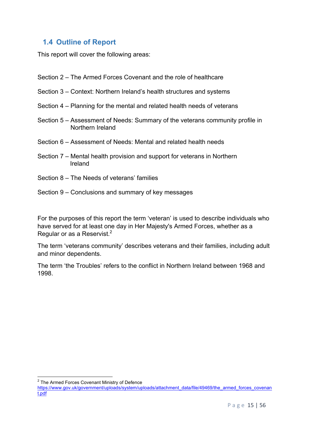### **1.4 Outline of Report**

This report will cover the following areas:

- Section 2 The Armed Forces Covenant and the role of healthcare
- Section 3 Context: Northern Ireland's health structures and systems
- Section 4 Planning for the mental and related health needs of veterans
- Section 5 Assessment of Needs: Summary of the veterans community profile in Northern Ireland
- Section 6 Assessment of Needs: Mental and related health needs
- Section 7 Mental health provision and support for veterans in Northern Ireland
- Section 8 The Needs of veterans' families
- Section 9 Conclusions and summary of key messages

For the purposes of this report the term 'veteran' is used to describe individuals who have served for at least one day in Her Majesty's Armed Forces, whether as a Regular or as a Reservist.<sup>2</sup>

The term 'veterans community' describes veterans and their families, including adult and minor dependents.

The term 'the Troubles' refers to the conflict in Northern Ireland between 1968 and 1998.

 <sup>2</sup> The Armed Forces Covenant Ministry of Defence

https://www.gov.uk/government/uploads/system/uploads/attachment\_data/file/49469/the\_armed\_forces\_covenan t.pdf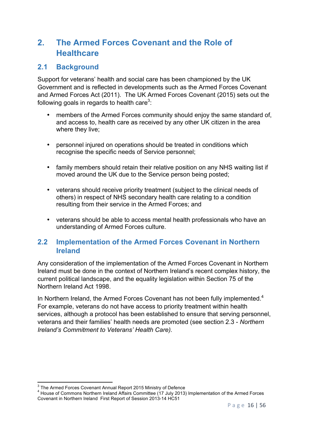# **2. The Armed Forces Covenant and the Role of Healthcare**

### **2.1 Background**

Support for veterans' health and social care has been championed by the UK Government and is reflected in developments such as the Armed Forces Covenant and Armed Forces Act (2011). The UK Armed Forces Covenant (2015) sets out the following goals in regards to health care $^3\!\!$ :

- members of the Armed Forces community should enjoy the same standard of, and access to, health care as received by any other UK citizen in the area where they live;
- personnel injured on operations should be treated in conditions which recognise the specific needs of Service personnel;
- family members should retain their relative position on any NHS waiting list if moved around the UK due to the Service person being posted;
- veterans should receive priority treatment (subject to the clinical needs of others) in respect of NHS secondary health care relating to a condition resulting from their service in the Armed Forces; and
- veterans should be able to access mental health professionals who have an understanding of Armed Forces culture.

### **2.2 Implementation of the Armed Forces Covenant in Northern Ireland**

Any consideration of the implementation of the Armed Forces Covenant in Northern Ireland must be done in the context of Northern Ireland's recent complex history, the current political landscape, and the equality legislation within Section 75 of the Northern Ireland Act 1998.

In Northern Ireland, the Armed Forces Covenant has not been fully implemented. $4$ For example, veterans do not have access to priority treatment within health services, although a protocol has been established to ensure that serving personnel. veterans and their families' health needs are promoted (see section 2.3 - *Northern Ireland's Commitment to Veterans' Health Care).*

<sup>&</sup>lt;sup>3</sup> The Armed Forces Covenant Annual Report 2015 Ministry of Defence<br><sup>4</sup> House of Commons Northern Ireland Affairs Committee (17 July 2013) Implementation of the Armed Forces Covenant in Northern Ireland First Report of Session 2013-14 HC51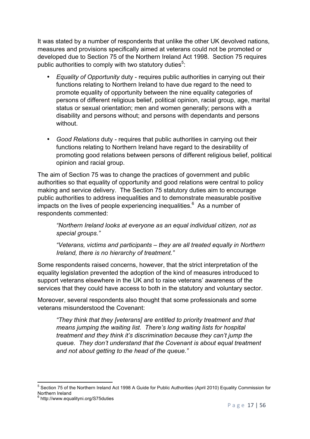It was stated by a number of respondents that unlike the other UK devolved nations, measures and provisions specifically aimed at veterans could not be promoted or developed due to Section 75 of the Northern Ireland Act 1998. Section 75 requires public authorities to comply with two statutory duties<sup>5</sup>:

- *Equality of Opportunity* duty requires public authorities in carrying out their functions relating to Northern Ireland to have due regard to the need to promote equality of opportunity between the nine equality categories of persons of different religious belief, political opinion, racial group, age, marital status or sexual orientation; men and women generally; persons with a disability and persons without; and persons with dependants and persons without.
- *Good Relations* duty requires that public authorities in carrying out their functions relating to Northern Ireland have regard to the desirability of promoting good relations between persons of different religious belief, political opinion and racial group.

The aim of Section 75 was to change the practices of government and public authorities so that equality of opportunity and good relations were central to policy making and service delivery. The Section 75 statutory duties aim to encourage public authorities to address inequalities and to demonstrate measurable positive impacts on the lives of people experiencing inequalities.<sup>6</sup> As a number of respondents commented:

*"Northern Ireland looks at everyone as an equal individual citizen, not as special groups."*

*"Veterans, victims and participants – they are all treated equally in Northern Ireland, there is no hierarchy of treatment."*

Some respondents raised concerns, however, that the strict interpretation of the equality legislation prevented the adoption of the kind of measures introduced to support veterans elsewhere in the UK and to raise veterans' awareness of the services that they could have access to both in the statutory and voluntary sector.

Moreover, several respondents also thought that some professionals and some veterans misunderstood the Covenant:

*"They think that they [veterans] are entitled to priority treatment and that means jumping the waiting list. There's long waiting lists for hospital treatment and they think it's discrimination because they can't jump the queue. They don't understand that the Covenant is about equal treatment and not about getting to the head of the queue."*

 <sup>5</sup> Section 75 of the Northern Ireland Act 1998 A Guide for Public Authorities (April 2010) Equality Commission for Northern Ireland

<sup>6</sup> http://www.equalityni.org/S75duties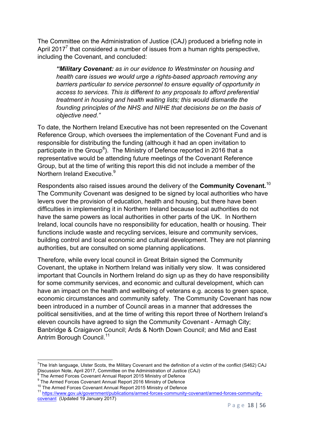The Committee on the Administration of Justice (CAJ) produced a briefing note in April 2017<sup>7</sup> that considered a number of issues from a human rights perspective, including the Covenant, and concluded:

*"Military Covenant: as in our evidence to Westminster on housing and health care issues we would urge a rights-based approach removing any barriers particular to service personnel to ensure equality of opportunity in access to services. This is different to any proposals to afford preferential treatment in housing and health waiting lists; this would dismantle the founding principles of the NHS and NIHE that decisions be on the basis of objective need."*

To date, the Northern Ireland Executive has not been represented on the Covenant Reference Group, which oversees the implementation of the Covenant Fund and is responsible for distributing the funding (although it had an open invitation to participate in the Group<sup>8</sup>). The Ministry of Defence reported in 2016 that a representative would be attending future meetings of the Covenant Reference Group, but at the time of writing this report this did not include a member of the Northern Ireland Executive.<sup>9</sup>

Respondents also raised issues around the delivery of the **Community Covenant.** 10 The Community Covenant was designed to be signed by local authorities who have levers over the provision of education, health and housing, but there have been difficulties in implementing it in Northern Ireland because local authorities do not have the same powers as local authorities in other parts of the UK. In Northern Ireland, local councils have no responsibility for education, health or housing. Their functions include waste and recycling services, leisure and community services, building control and local economic and cultural development. They are not planning authorities, but are consulted on some planning applications.

Therefore, while every local council in Great Britain signed the Community Covenant, the uptake in Northern Ireland was initially very slow. It was considered important that Councils in Northern Ireland do sign up as they do have responsibility for some community services, and economic and cultural development, which can have an impact on the health and wellbeing of veterans e.g. access to green space, economic circumstances and community safety. The Community Covenant has now been introduced in a number of Council areas in a manner that addresses the political sensitivities, and at the time of writing this report three of Northern Ireland's eleven councils have agreed to sign the Community Covenant - Armagh City; Banbridge & Craigavon Council; Ards & North Down Council; and Mid and East Antrim Borough Council.<sup>11</sup>

 <sup>7</sup> The Irish language, Ulster Scots, the Military Covenant and the definition of a victim of the conflict (S462) CAJ Discussion Note, April 2017, Committee on the Administration of Justice (CAJ) 8 The Armed Forces Covenant Annual Report 2015 Ministry of Defence

<sup>&</sup>lt;sup>9</sup> The Armed Forces Covenant Annual Report 2016 Ministry of Defence <sup>10</sup> The Armed Forces Covenant Annual Report 2015 Ministry of Defence

<sup>&</sup>lt;sup>11</sup> https://www.gov.uk/government/publications/armed-forces-community-covenant/armed-forces-communitycovenant (Updated 19 January 2017)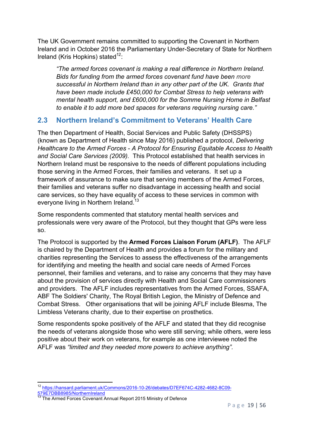The UK Government remains committed to supporting the Covenant in Northern Ireland and in October 2016 the Parliamentary Under-Secretary of State for Northern Ireland (Kris Hopkins) stated $12$ :

*"The armed forces covenant is making a real difference in Northern Ireland. Bids for funding from the armed forces covenant fund have been more successful in Northern Ireland than in any other part of the UK. Grants that have been made include £450,000 for Combat Stress to help veterans with mental health support, and £600,000 for the Somme Nursing Home in Belfast to enable it to add more bed spaces for veterans requiring nursing care."*

#### **2.3 Northern Ireland's Commitment to Veterans' Health Care**

The then Department of Health, Social Services and Public Safety (DHSSPS) (known as Department of Health since May 2016) published a protocol, *Delivering Healthcare to the Armed Forces - A Protocol for Ensuring Equitable Access to Health and Social Care Services (2009).* This Protocol established that health services in Northern Ireland must be responsive to the needs of different populations including those serving in the Armed Forces, their families and veterans. It set up a framework of assurance to make sure that serving members of the Armed Forces, their families and veterans suffer no disadvantage in accessing health and social care services, so they have equality of access to these services in common with everyone living in Northern Ireland.<sup>13</sup>

Some respondents commented that statutory mental health services and professionals were very aware of the Protocol, but they thought that GPs were less so.

The Protocol is supported by the **Armed Forces Liaison Forum (AFLF)**. The AFLF is chaired by the Department of Health and provides a forum for the military and charities representing the Services to assess the effectiveness of the arrangements for identifying and meeting the health and social care needs of Armed Forces personnel, their families and veterans, and to raise any concerns that they may have about the provision of services directly with Health and Social Care commissioners and providers. The AFLF includes representatives from the Armed Forces, SSAFA, ABF The Soldiers' Charity, The Royal British Legion, the Ministry of Defence and Combat Stress. Other organisations that will be joining AFLF include Blesma, The Limbless Veterans charity, due to their expertise on prosthetics.

Some respondents spoke positively of the AFLF and stated that they did recognise the needs of veterans alongside those who were still serving; while others, were less positive about their work on veterans, for example as one interviewee noted the AFLF was *"limited and they needed more powers to achieve anything".*

 <sup>12</sup> https://hansard.parliament.uk/Commons/2016-10-26/debates/D7EF674C-4282-4682-8C09-

<sup>579</sup>E7DBB8985/NorthernIreland

<sup>&</sup>lt;sup>13</sup> The Armed Forces Covenant Annual Report 2015 Ministry of Defence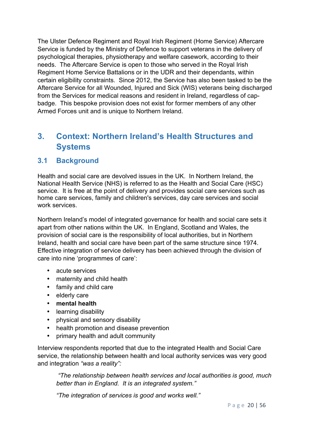The Ulster Defence Regiment and Royal Irish Regiment (Home Service) Aftercare Service is funded by the Ministry of Defence to support veterans in the delivery of psychological therapies, physiotherapy and welfare casework, according to their needs. The Aftercare Service is open to those who served in the Royal Irish Regiment Home Service Battalions or in the UDR and their dependants, within certain eligibility constraints. Since 2012, the Service has also been tasked to be the Aftercare Service for all Wounded, Injured and Sick (WIS) veterans being discharged from the Services for medical reasons and resident in Ireland, regardless of capbadge. This bespoke provision does not exist for former members of any other Armed Forces unit and is unique to Northern Ireland.

# **3. Context: Northern Ireland's Health Structures and Systems**

#### **3.1 Background**

Health and social care are devolved issues in the UK. In Northern Ireland, the National Health Service (NHS) is referred to as the Health and Social Care (HSC) service. It is free at the point of delivery and provides social care services such as home care services, family and children's services, day care services and social work services

Northern Ireland's model of integrated governance for health and social care sets it apart from other nations within the UK. In England, Scotland and Wales, the provision of social care is the responsibility of local authorities, but in Northern Ireland, health and social care have been part of the same structure since 1974. Effective integration of service delivery has been achieved through the division of care into nine 'programmes of care':

- acute services
- maternity and child health
- family and child care
- elderly care
- **mental health**
- learning disability
- physical and sensory disability
- health promotion and disease prevention
- primary health and adult community

Interview respondents reported that due to the integrated Health and Social Care service, the relationship between health and local authority services was very good and integration *"was a reality":*

*"The relationship between health services and local authorities is good, much better than in England. It is an integrated system."*

*"The integration of services is good and works well."*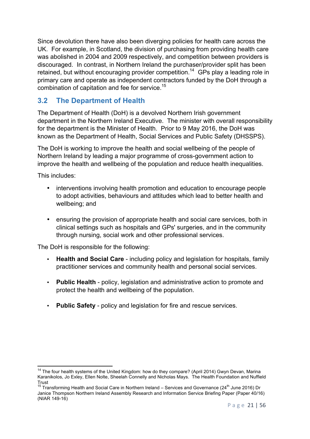Since devolution there have also been diverging policies for health care across the UK. For example, in Scotland, the division of purchasing from providing health care was abolished in 2004 and 2009 respectively, and competition between providers is discouraged. In contrast, in Northern Ireland the purchaser/provider split has been retained, but without encouraging provider competition.<sup>14</sup> GPs play a leading role in primary care and operate as independent contractors funded by the DoH through a combination of capitation and fee for service.<sup>15</sup>

### **3.2 The Department of Health**

The Department of Health (DoH) is a devolved Northern Irish government department in the Northern Ireland Executive. The minister with overall responsibility for the department is the Minister of Health. Prior to 9 May 2016, the DoH was known as the Department of Health, Social Services and Public Safety (DHSSPS).

The DoH is working to improve the health and social wellbeing of the people of Northern Ireland by leading a major programme of cross-government action to improve the health and wellbeing of the population and reduce health inequalities.

This includes:

- interventions involving health promotion and education to encourage people to adopt activities, behaviours and attitudes which lead to better health and wellbeing; and
- ensuring the provision of appropriate health and social care services, both in clinical settings such as hospitals and GPs' surgeries, and in the community through nursing, social work and other professional services.

The DoH is responsible for the following:

- **Health and Social Care** including policy and legislation for hospitals, family practitioner services and community health and personal social services.
- **Public Health** policy, legislation and administrative action to promote and protect the health and wellbeing of the population.
- **Public Safety** policy and legislation for fire and rescue services.

<sup>&</sup>lt;sup>14</sup> The four health systems of the United Kingdom: how do they compare? (April 2014) Gwyn Devan, Marina Karanikolos, Jo Exley, Ellen Nolte, Sheelah Connelly and Nicholas Mays. The Health Foundation and Nuffield **Trust** 

<sup>15</sup> Transforming Health and Social Care in Northern Ireland – Services and Governance (24<sup>th</sup> June 2016) Dr Janice Thompson Northern Ireland Assembly Research and Information Service Briefing Paper (Paper 40/16) (NIAR 149-16)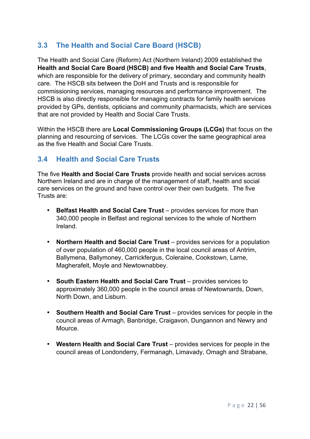### **3.3 The Health and Social Care Board (HSCB)**

The Health and Social Care (Reform) Act (Northern Ireland) 2009 established the **Health and Social Care Board (HSCB) and five Health and Social Care Trusts**, which are responsible for the delivery of primary, secondary and community health care. The HSCB sits between the DoH and Trusts and is responsible for commissioning services, managing resources and performance improvement. The HSCB is also directly responsible for managing contracts for family health services provided by GPs, dentists, opticians and community pharmacists, which are services that are not provided by Health and Social Care Trusts.

Within the HSCB there are **Local Commissioning Groups (LCGs)** that focus on the planning and resourcing of services. The LCGs cover the same geographical area as the five Health and Social Care Trusts.

### **3.4 Health and Social Care Trusts**

The five **Health and Social Care Trusts** provide health and social services across Northern Ireland and are in charge of the management of staff, health and social care services on the ground and have control over their own budgets. The five Trusts are:

- **Belfast Health and Social Care Trust** provides services for more than 340,000 people in Belfast and regional services to the whole of Northern Ireland.
- **Northern Health and Social Care Trust** provides services for a population of over population of 460,000 people in the local council areas of Antrim, Ballymena, Ballymoney, Carrickfergus, Coleraine, Cookstown, Larne, Magherafelt, Moyle and Newtownabbey.
- **South Eastern Health and Social Care Trust** provides services to approximately 360,000 people in the council areas of Newtownards, Down, North Down, and Lisburn.
- **Southern Health and Social Care Trust** provides services for people in the council areas of Armagh, Banbridge, Craigavon, Dungannon and Newry and Mource.
- **Western Health and Social Care Trust** provides services for people in the council areas of Londonderry, Fermanagh, Limavady, Omagh and Strabane,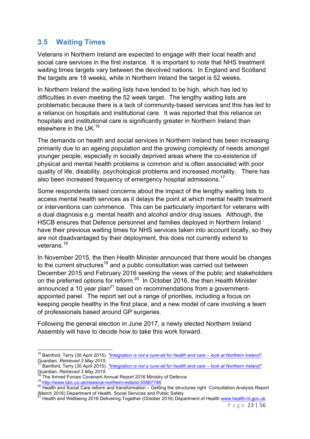### **3.5 Waiting Times**

Veterans in Northern Ireland are expected to engage with their local health and social care services in the first instance. It is important to note that NHS treatment waiting times targets vary between the devolved nations. In England and Scotland the targets are 18 weeks, while in Northern Ireland the target is 52 weeks.

In Northern Ireland the waiting lists have tended to be high, which has led to difficulties in even meeting the 52 week target. The lengthy waiting lists are problematic because there is a lack of community-based services and this has led to a reliance on hospitals and institutional care. It was reported that this reliance on hospitals and institutional care is significantly greater in Northern Ireland than elsewhere in the UK.<sup>16</sup>

The demands on health and social services in Northern Ireland has been increasing primarily due to an ageing population and the growing complexity of needs amongst younger people, especially in socially deprived areas where the co-existence of physical and mental health problems is common and is often associated with poor quality of life, disability, psychological problems and increased mortality. There has also been increased frequency of emergency hospital admissions.<sup>17</sup>

Some respondents raised concerns about the impact of the lengthy waiting lists to access mental health services as it delays the point at which mental health treatment or interventions can commence. This can be particularly important for veterans with a dual diagnosis e.g. mental health and alcohol and/or drug issues. Although, the HSCB ensures that Defence personnel and families deployed in Northern Ireland have their previous waiting times for NHS services taken into account locally, so they are not disadvantaged by their deployment, this does not currently extend to veterans.<sup>18</sup>

In November 2015, the then Health Minister announced that there would be changes to the current structures<sup>19</sup> and a public consultation was carried out between December 2015 and February 2016 seeking the views of the public and stakeholders on the preferred options for reform.<sup>20</sup> In October 2016, the then Health Minister announced a 10 year plan<sup>21</sup> based on recommendations from a governmentappointed panel. The report set out a range of priorities, including a focus on keeping people healthy in the first place, and a new model of care involving a team of professionals based around GP surgeries.

Following the general election in June 2017, a newly elected Northern Ireland Assembly will have to decide how to take this work forward.

<sup>&</sup>lt;sup>16</sup> Bamford, Terry (30 April 2015). <u>"Integration is not a cure-all for health and care – look at Northern Ireland".<br>Guardian. Retrieved 3 May 2015.<br><sup>17</sup> Bomford, Terry (30 April 2015). "It is a contract to the care of th</u>

<sup>&</sup>lt;sup>17</sup> Bamford, Terry (30 April 2015). <u>"Integration is not a cure-all for health and care – look at Northern Ireland".<br>Guardian. Retrieved 3 May 2015.<br><sup>18</sup> The Armed Forces Covenant Annual Report 2016 Ministry of Defence</u>

<sup>10</sup> Armed Forces Covenant Armula (Nept. 2018)<br>
19 http://www.bbc.co.uk/news/uk-northern-ireland-35887746<br>
<sup>20</sup> Health and Social Care reform and transformation – Getting the structures right Consultation Analysis Report (March 2016) Department of Health, Social Services and Public Safety

<sup>&</sup>lt;sup>21</sup> Health and Wellbeing 2016 Delivering Together (October 2016) Department of Health www.health-nl.gov.uk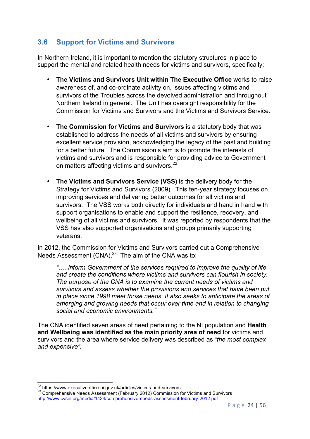### **3.6 Support for Victims and Survivors**

In Northern Ireland, it is important to mention the statutory structures in place to support the mental and related health needs for victims and survivors, specifically:

- **The Victims and Survivors Unit within The Executive Office** works to raise awareness of, and co-ordinate activity on, issues affecting victims and survivors of the Troubles across the devolved administration and throughout Northern Ireland in general. The Unit has oversight responsibility for the Commission for Victims and Survivors and the Victims and Survivors Service.
- **The Commission for Victims and Survivors** is a statutory body that was established to address the needs of all victims and survivors by ensuring excellent service provision, acknowledging the legacy of the past and building for a better future. The Commission's aim is to promote the interests of victims and survivors and is responsible for providing advice to Government on matters affecting victims and survivors.<sup>22</sup>
- **The Victims and Survivors Service (VSS)** is the delivery body for the Strategy for Victims and Survivors (2009). This ten-year strategy focuses on improving services and delivering better outcomes for all victims and survivors. The VSS works both directly for individuals and hand in hand with support organisations to enable and support the resilience, recovery, and wellbeing of all victims and survivors. It was reported by respondents that the VSS has also supported organisations and groups primarily supporting veterans.

In 2012, the Commission for Victims and Survivors carried out a Comprehensive Needs Assessment (CNA).<sup>23</sup> The aim of the CNA was to:

*"…..inform Government of the services required to improve the quality of life and create the conditions where victims and survivors can flourish in society. The purpose of the CNA is to examine the current needs of victims and survivors and assess whether the provisions and services that have been put in place since 1998 meet those needs. It also seeks to anticipate the areas of emerging and growing needs that occur over time and in relation to changing social and economic environments."*

The CNA identified seven areas of need pertaining to the NI population and **Health and Wellbeing was identified as the main priority area of need** for victims and survivors and the area where service delivery was described as *"the most complex and expensive".* 

<sup>&</sup>lt;sup>22</sup> https://www.executiveoffice-ni.gov.uk/articles/victims-and-survivors<br><sup>23</sup> Comprehensive Needs Assessment (February 2012) Commission for Victims and Survivors http://www.cvsni.org/media/1434/comprehensive-needs-assessment-february-2012.pdf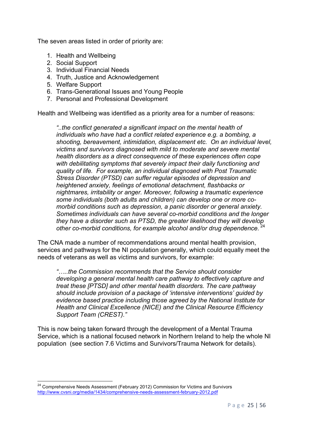The seven areas listed in order of priority are:

- 1. Health and Wellbeing
- 2. Social Support
- 3. Individual Financial Needs
- 4. Truth, Justice and Acknowledgement
- 5. Welfare Support
- 6. Trans-Generational Issues and Young People
- 7. Personal and Professional Development

Health and Wellbeing was identified as a priority area for a number of reasons:

*"..the conflict generated a significant impact on the mental health of individuals who have had a conflict related experience e.g. a bombing, a shooting, bereavement, intimidation, displacement etc. On an individual level, victims and survivors diagnosed with mild to moderate and severe mental health disorders as a direct consequence of these experiences often cope with debilitating symptoms that severely impact their daily functioning and quality of life. For example, an individual diagnosed with Post Traumatic Stress Disorder (PTSD) can suffer regular episodes of depression and heightened anxiety, feelings of emotional detachment, flashbacks or nightmares, irritability or anger. Moreover, following a traumatic experience some individuals (both adults and children) can develop one or more comorbid conditions such as depression, a panic disorder or general anxiety. Sometimes individuals can have several co-morbid conditions and the longer they have a disorder such as PTSD, the greater likelihood they will develop other co-morbid conditions, for example alcohol and/or drug dependence.* <sup>24</sup>

The CNA made a number of recommendations around mental health provision, services and pathways for the NI population generally, which could equally meet the needs of veterans as well as victims and survivors, for example:

*"…..the Commission recommends that the Service should consider developing a general mental health care pathway to effectively capture and treat these [PTSD] and other mental health disorders. The care pathway should include provision of a package of 'intensive interventions' guided by evidence based practice including those agreed by the National Institute for Health and Clinical Excellence (NICE) and the Clinical Resource Efficiency Support Team (CREST)."*

This is now being taken forward through the development of a Mental Trauma Service, which is a national focused network in Northern Ireland to help the whole NI population (see section 7.6 Victims and Survivors/Trauma Network for details).

<sup>&</sup>lt;sup>24</sup> Comprehensive Needs Assessment (February 2012) Commission for Victims and Survivors http://www.cvsni.org/media/1434/comprehensive-needs-assessment-february-2012.pdf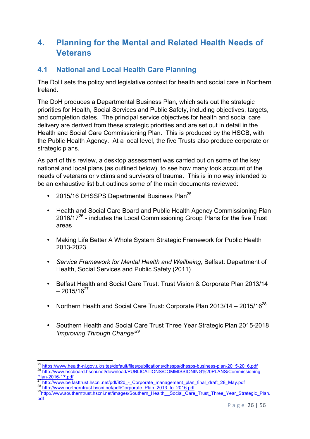# **4. Planning for the Mental and Related Health Needs of Veterans**

### **4.1 National and Local Health Care Planning**

The DoH sets the policy and legislative context for health and social care in Northern Ireland.

The DoH produces a Departmental Business Plan, which sets out the strategic priorities for Health, Social Services and Public Safety, including objectives, targets, and completion dates. The principal service objectives for health and social care delivery are derived from these strategic priorities and are set out in detail in the Health and Social Care Commissioning Plan. This is produced by the HSCB, with the Public Health Agency. At a local level, the five Trusts also produce corporate or strategic plans.

As part of this review, a desktop assessment was carried out on some of the key national and local plans (as outlined below), to see how many took account of the needs of veterans or victims and survivors of trauma. This is in no way intended to be an exhaustive list but outlines some of the main documents reviewed:

- 2015/16 DHSSPS Departmental Business Plan<sup>25</sup>
- Health and Social Care Board and Public Health Agency Commissioning Plan  $2016/17^{26}$  - includes the Local Commissioning Group Plans for the five Trust areas
- Making Life Better A Whole System Strategic Framework for Public Health 2013-2023
- *Service Framework for Mental Health and Wellbeing,* Belfast: Department of Health, Social Services and Public Safety (2011)
- Belfast Health and Social Care Trust: Trust Vision & Corporate Plan 2013/14  $-2015/16^{27}$
- Northern Health and Social Care Trust: Corporate Plan  $2013/14 2015/16^{28}$
- Southern Health and Social Care Trust Three Year Strategic Plan 2015-2018 *'Improving Through Change'<sup>29</sup>*

<sup>&</sup>lt;sup>25</sup> https://www.health-ni.gov.uk/sites/default/files/publications/dhssps/dhssps-business-plan-2015-2016.pdf<br><sup>26</sup> http://www.hscboard.hscni.net/download/PUBLICATIONS/COMMISSIONING%20PLANS/Commissioning-<br>27 an-2016-17.pdf

<sup>&</sup>lt;sup>27</sup> http://www.belfasttrust.hscni.net/pdf/820\_-\_Corporate\_management\_plan\_final\_draft\_28\_May.pdf<br><sup>28</sup> http://www.northerntrust.hscni.net/pdf/Corporate\_Plan\_2013\_to\_2016.pdf<br><sup>29</sup>http://www.southerntrust.hscni.net/images/So

pdf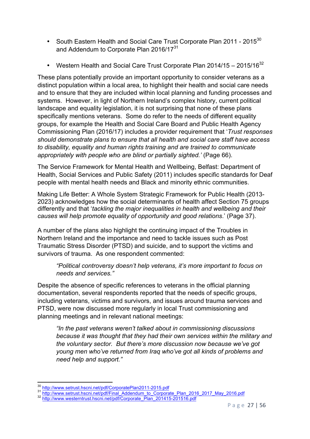- South Eastern Health and Social Care Trust Corporate Plan 2011 2015<sup>30</sup> and Addendum to Corporate Plan 2016/17<sup>31</sup>
- Western Health and Social Care Trust Corporate Plan  $2014/15 2015/16^{32}$

These plans potentially provide an important opportunity to consider veterans as a distinct population within a local area, to highlight their health and social care needs and to ensure that they are included within local planning and funding processes and systems. However, in light of Northern Ireland's complex history, current political landscape and equality legislation, it is not surprising that none of these plans specifically mentions veterans. Some do refer to the needs of different equality groups, for example the Health and Social Care Board and Public Health Agency Commissioning Plan (2016/17) includes a provider requirement that '*Trust responses should demonstrate plans to ensure that all health and social care staff have access to disability, equality and human rights training and are trained to communicate appropriately with people who are blind or partially sighted.'* (Page 66).

The Service Framework for Mental Health and Wellbeing, Belfast: Department of Health, Social Services and Public Safety (2011) includes specific standards for Deaf people with mental health needs and Black and minority ethnic communities.

Making Life Better: A Whole System Strategic Framework for Public Health (2013- 2023) acknowledges how the social determinants of health affect Section 75 groups differently and that '*tackling the major inequalities in health and wellbeing and their causes will help promote equality of opportunity and good relations*.' (Page 37).

A number of the plans also highlight the continuing impact of the Troubles in Northern Ireland and the importance and need to tackle issues such as Post Traumatic Stress Disorder (PTSD) and suicide, and to support the victims and survivors of trauma. As one respondent commented:

*"Political controversy doesn't help veterans, it's more important to focus on needs and services."*

Despite the absence of specific references to veterans in the official planning documentation, several respondents reported that the needs of specific groups, including veterans, victims and survivors, and issues around trauma services and PTSD, were now discussed more regularly in local Trust commissioning and planning meetings and in relevant national meetings:

*"In the past veterans weren't talked about in commissioning discussions because it was thought that they had their own services within the military and the voluntary sector. But there's more discussion now because we've got young men who've returned from Iraq who've got all kinds of problems and need help and support."* 

<sup>&</sup>lt;sup>30</sup> http://www.setrust.hscni.net/pdf/CorporatePlan2011-2015.pdf<br><sup>31</sup> http://www.setrust.hscni.net/pdf/Final\_Addendum\_to\_Corporate\_Plan\_2016\_2017\_May\_2016.pdf<br><sup>32</sup> http://www.westerntrust.hscni.net/pdf/Corporate\_Plan\_20141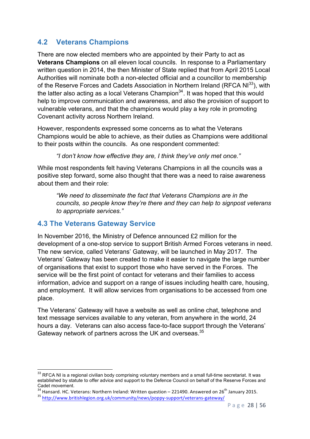### **4.2 Veterans Champions**

There are now elected members who are appointed by their Party to act as **Veterans Champions** on all eleven local councils. In response to a Parliamentary written question in 2014, the then Minister of State replied that from April 2015 Local Authorities will nominate both a non-elected official and a councillor to membership of the Reserve Forces and Cadets Association in Northern Ireland (RFCA NI<sup>33</sup>), with the latter also acting as a local Veterans Champion<sup>34</sup>. It was hoped that this would help to improve communication and awareness, and also the provision of support to vulnerable veterans, and that the champions would play a key role in promoting Covenant activity across Northern Ireland.

However, respondents expressed some concerns as to what the Veterans Champions would be able to achieve, as their duties as Champions were additional to their posts within the councils. As one respondent commented:

*"I don't know how effective they are, I think they've only met once."*

While most respondents felt having Veterans Champions in all the councils was a positive step forward, some also thought that there was a need to raise awareness about them and their role:

*"We need to disseminate the fact that Veterans Champions are in the councils, so people know they're there and they can help to signpost veterans to appropriate services."*

### **4.3 The Veterans Gateway Service**

In November 2016, the Ministry of Defence announced £2 million for the development of a one-stop service to support British Armed Forces veterans in need. The new service, called Veterans' Gateway, will be launched in May 2017. The Veterans' Gateway has been created to make it easier to navigate the large number of organisations that exist to support those who have served in the Forces. The service will be the first point of contact for veterans and their families to access information, advice and support on a range of issues including health care, housing, and employment. It will allow services from organisations to be accessed from one place.

The Veterans' Gateway will have a website as well as online chat, telephone and text message services available to any veteran, from anywhere in the world, 24 hours a day. Veterans can also access face-to-face support through the Veterans' Gateway network of partners across the UK and overseas.<sup>35</sup>

<sup>&</sup>lt;sup>33</sup> RFCA NI is a regional civilian body comprising voluntary members and a small full-time secretariat. It was established by statute to offer advice and support to the Defence Council on behalf of the Reserve Forces and Cadet movement.

<sup>&</sup>lt;sup>34</sup> Hansard. HC. Veterans: Northern Ireland: Written question – 221490. Answered on 26<sup>th</sup> January 2015.<br><sup>35</sup> http://www.britishlegion.org.uk/community/news/poppy-support/veterans-gateway/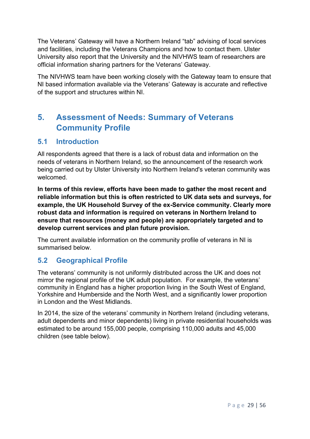The Veterans' Gateway will have a Northern Ireland "tab" advising of local services and facilities, including the Veterans Champions and how to contact them. Ulster University also report that the University and the NIVHWS team of researchers are official information sharing partners for the Veterans' Gateway.

The NIVHWS team have been working closely with the Gateway team to ensure that NI based information available via the Veterans' Gateway is accurate and reflective of the support and structures within NI.

# **5. Assessment of Needs: Summary of Veterans Community Profile**

### **5.1 Introduction**

All respondents agreed that there is a lack of robust data and information on the needs of veterans in Northern Ireland, so the announcement of the research work being carried out by Ulster University into Northern Ireland's veteran community was welcomed.

**In terms of this review, efforts have been made to gather the most recent and reliable information but this is often restricted to UK data sets and surveys, for example, the UK Household Survey of the ex-Service community. Clearly more robust data and information is required on veterans in Northern Ireland to ensure that resources (money and people) are appropriately targeted and to develop current services and plan future provision.** 

The current available information on the community profile of veterans in NI is summarised below.

### **5.2 Geographical Profile**

The veterans' community is not uniformly distributed across the UK and does not mirror the regional profile of the UK adult population. For example, the veterans' community in England has a higher proportion living in the South West of England, Yorkshire and Humberside and the North West, and a significantly lower proportion in London and the West Midlands.

In 2014, the size of the veterans' community in Northern Ireland (including veterans, adult dependents and minor dependents) living in private residential households was estimated to be around 155,000 people, comprising 110,000 adults and 45,000 children (see table below).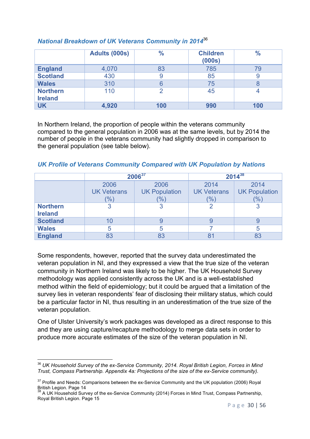|                                   | <b>Adults (000s)</b> | $\frac{9}{6}$ | <b>Children</b><br>(000s) | $\frac{9}{6}$ |
|-----------------------------------|----------------------|---------------|---------------------------|---------------|
| <b>England</b>                    | 4,070                | 83            | 785                       | 79            |
| <b>Scotland</b>                   | 430                  | 9             | 85                        |               |
| <b>Wales</b>                      | 310                  | 6             | 75                        |               |
| <b>Northern</b><br><b>Ireland</b> | 110                  |               | 45                        |               |
| <b>UK</b>                         | 4,920                | 100           | 990                       | 100           |

#### *National Breakdown of UK Veterans Community in 2014*<sup>36</sup>

In Northern Ireland, the proportion of people within the veterans community compared to the general population in 2006 was at the same levels, but by 2014 the number of people in the veterans community had slightly dropped in comparison to the general population (see table below).

#### *UK Profile of Veterans Community Compared with UK Population by Nations*

|                                   |                    | 200637               | $2014^{38}$        |                      |  |
|-----------------------------------|--------------------|----------------------|--------------------|----------------------|--|
|                                   | 2006               | 2006                 | 2014               | 2014                 |  |
|                                   | <b>UK Veterans</b> | <b>UK Population</b> | <b>UK Veterans</b> | <b>UK Population</b> |  |
|                                   | (%)                | $(\% )$              | (%)                | $\frac{\%}{\%}$      |  |
| <b>Northern</b><br><b>Ireland</b> | 3                  |                      |                    |                      |  |
| <b>Scotland</b>                   | 10                 |                      |                    |                      |  |
| <b>Wales</b>                      | 5                  | 5                    |                    |                      |  |
| <b>England</b>                    | 83                 | 83                   |                    | 83                   |  |

Some respondents, however, reported that the survey data underestimated the veteran population in NI, and they expressed a view that the true size of the veteran community in Northern Ireland was likely to be higher. The UK Household Survey methodology was applied consistently across the UK and is a well-established method within the field of epidemiology; but it could be argued that a limitation of the survey lies in veteran respondents' fear of disclosing their military status, which could be a particular factor in NI, thus resulting in an underestimation of the true size of the veteran population.

One of Ulster University's work packages was developed as a direct response to this and they are using capture/recapture methodology to merge data sets in order to produce more accurate estimates of the size of the veteran population in NI.

<u> 1989 - Jan Samuel Barbara, margaret e</u>

<sup>36</sup> *UK Household Survey of the ex-Service Community, 2014. Royal British Legion, Forces in Mind Trust, Compass Partnership. Appendix 4a: Projections of the size of the ex-Service community).*

 $37$  Profile and Needs: Comparisons between the ex-Service Community and the UK population (2006) Royal British Legion. Page 14<br><sup>38</sup> A UK Household Survey of the ex-Service Community (2014) Forces in Mind Trust, Compass Partnership,

Royal British Legion. Page 15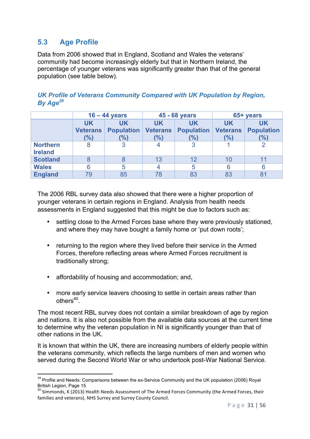### **5.3 Age Profile**

Data from 2006 showed that in England, Scotland and Wales the veterans' community had become increasingly elderly but that in Northern Ireland, the percentage of younger veterans was significantly greater than that of the general population (see table below).

#### *UK Profile of Veterans Community Compared with UK Population by Region, By Age39*

|                                   | $16 - 44$ years              |                                                  | 45 - 68 years    |                                                  | 65+ years        |                                       |
|-----------------------------------|------------------------------|--------------------------------------------------|------------------|--------------------------------------------------|------------------|---------------------------------------|
|                                   | UK<br><b>Veterans</b><br>(%) | <b>UK</b><br><b>Population   Veterans</b><br>(%) | <b>UK</b><br>(%) | <b>UK</b><br><b>Population   Veterans</b><br>(%) | <b>UK</b><br>(%) | <b>UK</b><br><b>Population</b><br>(%) |
| <b>Northern</b><br><b>Ireland</b> |                              |                                                  |                  |                                                  |                  |                                       |
| <b>Scotland</b>                   |                              |                                                  | 13               | 12                                               | 10               |                                       |
| <b>Wales</b>                      | 6                            | 5                                                |                  | 5                                                | 6                |                                       |
| <b>England</b>                    | 79                           | 85                                               | 78               | 83                                               | 83               | 81                                    |

The 2006 RBL survey data also showed that there were a higher proportion of younger veterans in certain regions in England. Analysis from health needs assessments in England suggested that this might be due to factors such as:

- settling close to the Armed Forces base where they were previously stationed, and where they may have bought a family home or 'put down roots';
- returning to the region where they lived before their service in the Armed Forces, therefore reflecting areas where Armed Forces recruitment is traditionally strong;
- affordability of housing and accommodation; and,

 

• more early service leavers choosing to settle in certain areas rather than  $o$ thers $40$ 

The most recent RBL survey does not contain a similar breakdown of age by region and nations. It is also not possible from the available data sources at the current time to determine why the veteran population in NI is significantly younger than that of other nations in the UK.

It is known that within the UK, there are increasing numbers of elderly people within the veterans community, which reflects the large numbers of men and women who served during the Second World War or who undertook post-War National Service.

<sup>&</sup>lt;sup>39</sup> Profile and Needs: Comparisons between the ex-Service Community and the UK population (2006) Royal British Legion. Page 15<br><sup>40</sup> Simmonds, K (2013) Health Needs Assessment of The Armed Forces Community (the Armed Forces, their

families and veterans). NHS Surrey and Surrey County Council.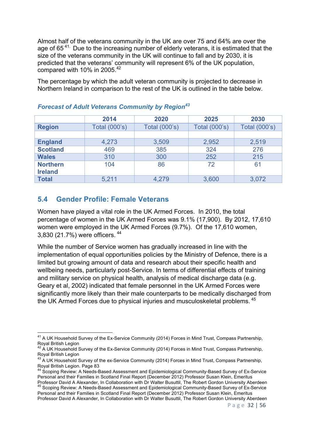Almost half of the veterans community in the UK are over 75 and 64% are over the age of 65 $<sup>41</sup>$ . Due to the increasing number of elderly veterans, it is estimated that the</sup> size of the veterans community in the UK will continue to fall and by 2030, it is predicted that the veterans' community will represent 6% of the UK population, compared with 10% in 2005.<sup>42</sup>

The percentage by which the adult veteran community is projected to decrease in Northern Ireland in comparison to the rest of the UK is outlined in the table below.

|                                   | 2014                 | 2020                 | 2025                 | 2030                 |
|-----------------------------------|----------------------|----------------------|----------------------|----------------------|
| <b>Region</b>                     | <b>Total (000's)</b> | <b>Total (000's)</b> | <b>Total (000's)</b> | <b>Total (000's)</b> |
|                                   |                      |                      |                      |                      |
| <b>England</b>                    | 4,273                | 3,509                | 2,952                | 2,519                |
| <b>Scotland</b>                   | 469                  | 385                  | 324                  | 276                  |
| <b>Wales</b>                      | 310                  | 300                  | 252                  | 215                  |
| <b>Northern</b><br><b>Ireland</b> | 104                  | 86                   | 72                   | 61                   |
| <b>Total</b>                      | 5,211                | 4,279                | 3,600                | 3,072                |

#### *Forecast of Adult Veterans Community by Region<sup>43</sup>*

#### **5.4 Gender Profile: Female Veterans**

Women have played a vital role in the UK Armed Forces. In 2010, the total percentage of women in the UK Armed Forces was 9.1% (17,900). By 2012, 17,610 women were employed in the UK Armed Forces (9.7%). Of the 17,610 women, 3,830 (21.7%) were officers. 44

While the number of Service women has gradually increased in line with the implementation of equal opportunities policies by the Ministry of Defence, there is a limited but growing amount of data and research about their specific health and wellbeing needs, particularly post-Service. In terms of differential effects of training and military service on physical health, analysis of medical discharge data (e.g. Geary et al, 2002) indicated that female personnel in the UK Armed Forces were significantly more likely than their male counterparts to be medically discharged from the UK Armed Forces due to physical injuries and musculoskeletal problems. 45

<sup>&</sup>lt;sup>41</sup> A UK Household Survey of the Ex-Service Community (2014) Forces in Mind Trust, Compass Partnership, Royal British Legion

 $^{42}$  A UK Household Survey of the Ex-Service Community (2014) Forces in Mind Trust, Compass Partnership, Royal British Legion

<sup>&</sup>lt;sup>43</sup> A UK Household Survey of the ex-Service Community (2014) Forces in Mind Trust, Compass Partnership, Royal British Legion. Page 83<br><sup>44</sup> Scoping Review: A Needs-Based Assessment and Epidemiological Community-Based Survey of Ex-Service

Personal and their Families in Scotland Final Report (December 2012) Professor Susan Klein, Emeritus<br>Professor David A Alexander, In Collaboration with Dr Walter Busuttil. The Robert Gordon University Aberdeen

Professor Baria A Alexander, In Collection with Dr Walter Busitism and Epidemiological Community-Based Survey of Ex-Service Personal and their Families in Scotland Final Report (December 2012) Professor Susan Klein, Emeritus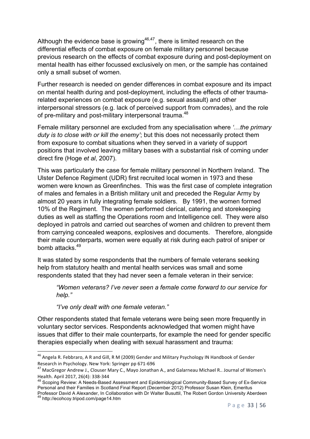Although the evidence base is growing<sup>46,47</sup>, there is limited research on the differential effects of combat exposure on female military personnel because previous research on the effects of combat exposure during and post-deployment on mental health has either focussed exclusively on men, or the sample has contained only a small subset of women.

Further research is needed on gender differences in combat exposure and its impact on mental health during and post-deployment, including the effects of other traumarelated experiences on combat exposure (e.g. sexual assault) and other interpersonal stressors (e.g. lack of perceived support from comrades), and the role of pre-military and post-military interpersonal trauma.<sup>48</sup>

Female military personnel are excluded from any specialisation where *'*…*the primary duty is to close with or kill the enemy'*; but this does not necessarily protect them from exposure to combat situations when they served in a variety of support positions that involved leaving military bases with a substantial risk of coming under direct fire (Hoge *et al*, 2007).

This was particularly the case for female military personnel in Northern Ireland. The Ulster Defence Regiment (UDR) first recruited local women in 1973 and these women were known as Greenfinches. This was the first case of complete integration of males and females in a British military unit and preceded the Regular Army by almost 20 years in fully integrating female soldiers. By 1991, the women formed 10% of the Regiment. The women performed clerical, catering and storekeeping duties as well as staffing the Operations room and Intelligence cell. They were also deployed in patrols and carried out searches of women and children to prevent them from carrying concealed weapons, explosives and documents. Therefore, alongside their male counterparts, women were equally at risk during each patrol of sniper or bomb attacks.49

It was stated by some respondents that the numbers of female veterans seeking help from statutory health and mental health services was small and some respondents stated that they had never seen a female veteran in their service:

*"Women veterans? I've never seen a female come forward to our service for help."*

*"I've only dealt with one female veteran."*

 

Other respondents stated that female veterans were being seen more frequently in voluntary sector services. Respondents acknowledged that women might have issues that differ to their male counterparts, for example the need for gender specific therapies especially when dealing with sexual harassment and trauma:

 $^{46}$  Angela R. Febbraro, A R and Gill, R M (2009) Gender and Military Psychology IN Handbook of Gender Research in Psychology. New York: Springer pp 671-696<br><sup>47</sup> MacGregor Andrew J., Clouser Mary C., Mayo Jonathan A., and Galarneau Michael R.. Journal of Women's

Health. April 2017, 26(4): 338-344<br><sup>48</sup> Scoping Review: A Needs-Based Assessment and Epidemiological Community-Based Survey of Ex-Service Personal and their Families in Scotland Final Report (December 2012) Professor Susan Klein, Emeritus

Professor David A Alexander, In Collaboration with Dr Walter Busuttil, The Robert Gordon University Aberdeen 49 http://ecohcoy.tripod.com/page14.htm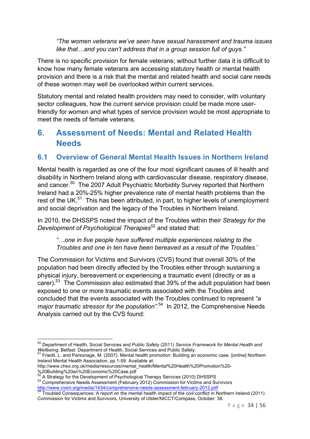*"The women veterans we've seen have sexual harassment and trauma issues like that…and you can't address that in a group session full of guys."*

There is no specific provision for female veterans; without further data it is difficult to know how many female veterans are accessing statutory health or mental health provision and there is a risk that the mental and related health and social care needs of these women may well be overlooked within current services.

Statutory mental and related health providers may need to consider, with voluntary sector colleagues, how the current service provision could be made more userfriendly for women and what types of service provision would be most appropriate to meet the needs of female veterans.

# **6. Assessment of Needs: Mental and Related Health Needs**

### **6.1 Overview of General Mental Health Issues in Northern Ireland**

Mental health is regarded as one of the four most significant causes of ill health and disability in Northern Ireland along with cardiovascular disease, respiratory disease, and cancer.<sup>50</sup> The 2007 Adult Psychiatric Morbidity Survey reported that Northern Ireland had a 20%-25% higher prevalence rate of mental health problems than the rest of the UK.<sup>51</sup> This has been attributed, in part, to higher levels of unemployment and social deprivation and the legacy of the Troubles in Northern Ireland.

In 2010, the DHSSPS noted the impact of the Troubles within their *Strategy for the Development of Psychological Therapies*<sup>52</sup> and stated that:

*"…one in five people have suffered multiple experiences relating to the Troubles and one in ten have been bereaved as a result of the Troubles*.'

The Commission for Victims and Survivors (CVS) found that overall 30% of the population had been directly affected by the Troubles either through sustaining a physical injury, bereavement or experiencing a traumatic event (directly or as a carer).<sup>53</sup> The Commission also estimated that 39% of the adult population had been exposed to one or more traumatic events associated with the Troubles and concluded that the events associated with the Troubles continued to represent *"a major traumatic stressor for the population"*. 54 In 2012, the Comprehensive Needs Analysis carried out by the CVS found:

Friedli, L. and Parsonage, M. (2007). Mental health promotion: Building an economic case. [online] Northern Ireland Mental Health Association, pp.1-59. Available at:

<sup>&</sup>lt;sup>50</sup> Department of Health, Social Services and Public Safety (2011) *Service Framework for Mental Health and Wellbeing, Belfast: Department of Health, Social Services and Public Safety.* 

http://www.chex.org.uk/media/resources/mental\_health/Mental%20Health%20Promotion%20-<br>%20Building%20an%20Economic%20Case.pdf<br>52 A.Stratagu facility C

 $52$  A Strategy for the Development of Psychological Therapy Services (2010) DHSSPS  $53$  Comprehensive Needs Assessment (February 2012) Commission for Victims and Survivors http://www.cvsni.org/media/1434/comprehensive-needs-assessment-february-2012.pdf<br><sup>54</sup> Troubled Consequences: A report on the mental health impact of the civil conflict in Northern Ireland (2011)

Commission for Victims and Survivors, University of Ulster/NICCT/Compass, October: 38.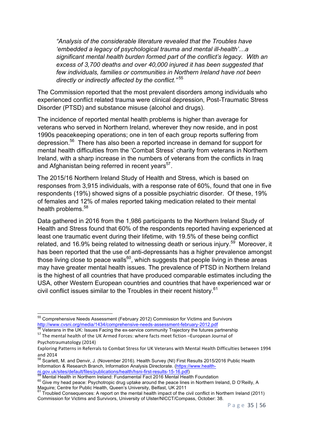*"Analysis of the considerable literature revealed that the Troubles have 'embedded a legacy of psychological trauma and mental ill-health'…a significant mental health burden formed part of the conflict's legacy. With an excess of 3,700 deaths and over 40,000 injured it has been suggested that few individuals, families or communities in Northern Ireland have not been directly or indirectly affected by the conflict."* <sup>55</sup>

The Commission reported that the most prevalent disorders among individuals who experienced conflict related trauma were clinical depression, Post-Traumatic Stress Disorder (PTSD) and substance misuse (alcohol and drugs).

The incidence of reported mental health problems is higher than average for veterans who served in Northern Ireland, wherever they now reside, and in post 1990s peacekeeping operations; one in ten of each group reports suffering from depression.<sup>56</sup> There has also been a reported increase in demand for support for mental health difficulties from the 'Combat Stress' charity from veterans in Northern Ireland, with a sharp increase in the numbers of veterans from the conflicts in Iraq and Afghanistan being referred in recent years<sup>57</sup>.

The 2015/16 Northern Ireland Study of Health and Stress, which is based on responses from 3,915 individuals, with a response rate of 60%, found that one in five respondents (19%) showed signs of a possible psychiatric disorder. Of these, 19% of females and 12% of males reported taking medication related to their mental health problems.<sup>58</sup>

Data gathered in 2016 from the 1,986 participants to the Northern Ireland Study of Health and Stress found that 60% of the respondents reported having experienced at least one traumatic event during their lifetime, with 19.5% of these being conflict related, and 16.9% being related to witnessing death or serious injury.<sup>59</sup> Moreover, it has been reported that the use of anti-depressants has a higher prevalence amongst those living close to peace walls<sup>60</sup>, which suggests that people living in these areas may have greater mental health issues. The prevalence of PTSD in Northern Ireland is the highest of all countries that have produced comparable estimates including the USA, other Western European countries and countries that have experienced war or civil conflict issues similar to the Troubles in their recent history.<sup>61</sup>

 <sup>55</sup> Comprehensive Needs Assessment (February 2012) Commission for Victims and Survivors

http://www.cvsni.org/media/1434/comprehensive-needs-assessment-february-2012.pdf<br><sup>56</sup> Veterans in the UK: Issues Facing the ex-service community Trajectory the futures partnership<br><sup>57</sup> The mental health of the UK Armed For

Psychotraumatology (2014)

Exploring Patterns in Referrals to Combat Stress for UK Veterans with Mental Health Difficulties between 1994 and 2014

<sup>&</sup>lt;sup>58</sup> Scarlett, M. and Denvir, J. (November 2016). Health Survey (NI) First Results 2015/2016 Public Health Information & Research Branch, Information Analysis Directorate. (https://www.health-<br>ni.gov.uk/sites/default/files/publications/health/hsni-first-results-15-16.pdf)

<sup>&</sup>lt;sup>59</sup> Mental Health in Northern Ireland: Fundamental Fact 2016 Mental Health Foundation<br><sup>60</sup> Give my head peace: Psychotropic drug uptake around the peace lines in Northern Ireland, D O'Reilly, A<br>Maguire; Centre for Public

 $^{61}$  Troubled Consequences: A report on the mental health impact of the civil conflict in Northern Ireland (2011) Commission for Victims and Survivors, University of Ulster/NICCT/Compass, October: 38.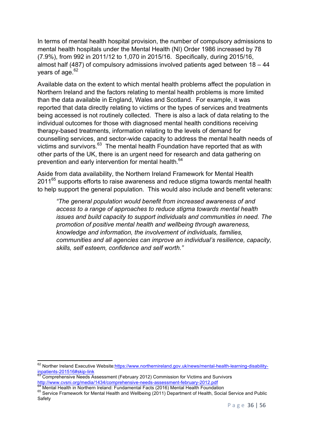In terms of mental health hospital provision, the number of compulsory admissions to mental health hospitals under the Mental Health (NI) Order 1986 increased by 78 (7.9%), from 992 in 2011/12 to 1,070 in 2015/16. Specifically, during 2015/16, almost half (487) of compulsory admissions involved patients aged between 18 – 44 vears of age. $62$ 

Available data on the extent to which mental health problems affect the population in Northern Ireland and the factors relating to mental health problems is more limited than the data available in England, Wales and Scotland. For example, it was reported that data directly relating to victims or the types of services and treatments being accessed is not routinely collected. There is also a lack of data relating to the individual outcomes for those with diagnosed mental health conditions receiving therapy-based treatments, information relating to the levels of demand for counselling services, and sector-wide capacity to address the mental health needs of victims and survivors.<sup>63</sup> The mental health Foundation have reported that as with other parts of the UK, there is an urgent need for research and data gathering on prevention and early intervention for mental health.<sup>64</sup>

Aside from data availability, the Northern Ireland Framework for Mental Health  $2011^{65}$  supports efforts to raise awareness and reduce stigma towards mental health to help support the general population. This would also include and benefit veterans:

*"The general population would benefit from increased awareness of and access to a range of approaches to reduce stigma towards mental health issues and build capacity to support individuals and communities in need. The promotion of positive mental health and wellbeing through awareness, knowledge and information, the involvement of individuals, families, communities and all agencies can improve an individual's resilience, capacity, skills, self esteem, confidence and self worth."*

<sup>&</sup>lt;sup>62</sup> Norther Ireland Executive Website:<u>https://www.northernireland.gov.uk/news/mental-health-learning-disability-</u><br>inpatients-201516#skip-link<br> $\frac{63}{63}$ Comprehensive Nacial Accessory of Castel Castel Comprehensive Naci

Comprehensive Needs Assessment (February 2012) Commission for Victims and Survivors

http://www.cvsni.org/media/1434/comprehensive-needs-assessment-february-2012.pdf<br><sup>64</sup> Mental Health in Northern Ireland: Fundamental Facts (2016) Mental Health Foundation<br><sup>65</sup> Service Framework for Mental Health and Wellbe Safety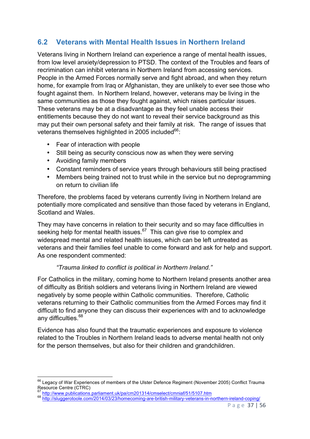### **6.2 Veterans with Mental Health Issues in Northern Ireland**

Veterans living in Northern Ireland can experience a range of mental health issues, from low level anxiety/depression to PTSD. The context of the Troubles and fears of recrimination can inhibit veterans in Northern Ireland from accessing services. People in the Armed Forces normally serve and fight abroad, and when they return home, for example from Iraq or Afghanistan, they are unlikely to ever see those who fought against them. In Northern Ireland, however, veterans may be living in the same communities as those they fought against, which raises particular issues. These veterans may be at a disadvantage as they feel unable access their entitlements because they do not want to reveal their service background as this may put their own personal safety and their family at risk. The range of issues that veterans themselves highlighted in 2005 included $66$ :

- Fear of interaction with people
- Still being as security conscious now as when they were serving
- Avoiding family members
- Constant reminders of service years through behaviours still being practised
- Members being trained not to trust while in the service but no deprogramming on return to civilian life

Therefore, the problems faced by veterans currently living in Northern Ireland are potentially more complicated and sensitive than those faced by veterans in England, Scotland and Wales.

They may have concerns in relation to their security and so may face difficulties in seeking help for mental health issues.<sup>67</sup> This can give rise to complex and widespread mental and related health issues, which can be left untreated as veterans and their families feel unable to come forward and ask for help and support. As one respondent commented:

#### *"Trauma linked to conflict is political in Northern Ireland."*

For Catholics in the military, coming home to Northern Ireland presents another area of difficulty as British soldiers and veterans living in Northern Ireland are viewed negatively by some people within Catholic communities. Therefore, Catholic veterans returning to their Catholic communities from the Armed Forces may find it difficult to find anyone they can discuss their experiences with and to acknowledge any difficulties.<sup>68</sup>

Evidence has also found that the traumatic experiences and exposure to violence related to the Troubles in Northern Ireland leads to adverse mental health not only for the person themselves, but also for their children and grandchildren.

<sup>&</sup>lt;sup>66</sup> Legacy of War Experiences of members of the Ulster Defence Regiment (November 2005) Conflict Trauma

Resource Centre (CTRC)<br>
<sup>67</sup><sub>http://www.publications.parliament.uk/pa/cm201314/cmselect/cmniaf/51/5107.htm</sub>

<sup>68</sup> http://sluggerotoole.com/2014/03/23/homecoming-are-british-military-veterans-in-northern-ireland-coping/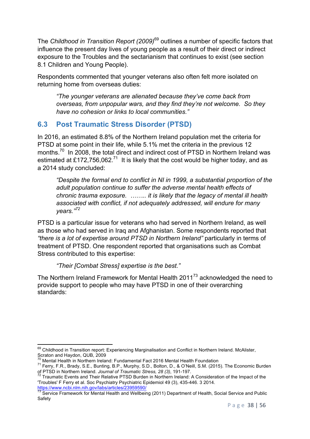The *Childhood in Transition Report (2009)*<sup>69</sup> outlines a number of specific factors that influence the present day lives of young people as a result of their direct or indirect exposure to the Troubles and the sectarianism that continues to exist (see section 8.1 Children and Young People).

Respondents commented that younger veterans also often felt more isolated on returning home from overseas duties:

*"The younger veterans are alienated because they've come back from overseas, from unpopular wars, and they find they're not welcome. So they have no cohesion or links to local communities."*

### **6.3 Post Traumatic Stress Disorder (PTSD)**

In 2016, an estimated 8.8% of the Northern Ireland population met the criteria for PTSD at some point in their life, while 5.1% met the criteria in the previous 12 months.<sup>70</sup> In 2008, the total direct and indirect cost of PTSD in Northern Ireland was estimated at £172,756,062.<sup>71</sup> It is likely that the cost would be higher today, and as a 2014 study concluded:

*"Despite the formal end to conflict in NI in 1999, a substantial proportion of the adult population continue to suffer the adverse mental health effects of chronic trauma exposure. …….. it is likely that the legacy of mental ill health associated with conflict, if not adequately addressed, will endure for many years." 72*

PTSD is a particular issue for veterans who had served in Northern Ireland, as well as those who had served in Iraq and Afghanistan. Some respondents reported that *"there is a lot of expertise around PTSD in Northern Ireland"* particularly in terms of treatment of PTSD. One respondent reported that organisations such as Combat Stress contributed to this expertise:

*"Their [Combat Stress] expertise is the best."*

The Northern Ireland Framework for Mental Health 2011<sup>73</sup> acknowledged the need to provide support to people who may have PTSD in one of their overarching standards:

<sup>&</sup>lt;sup>69</sup> Childhood in Transition report: Experiencing Marginalisation and Conflict in Northern Ireland. McAlister, Scraton and Haydon, QUB, 2009<br>
<sup>70</sup> Mental Health in Northern Ireland: Fundamental Fact 2016 Mental Health Foundation

<sup>&</sup>lt;sup>70</sup> Mental Health in Northern Ireland: Fundamental Fact 2016 Mental Health Foundation<br><sup>71</sup> Ferry, F.R., Brady, S.E., Bunting, B.P., Murphy, S.D., Bolton, D., & O'Neill, S.M. (2015). The Economic Burden of PTSD in Northern Ireland. *Journal of Traumatic Stress, 28 (3)*, 191-197.<br><sup>72</sup> Traumatic Events and Their Relative PTSD Burden in Northern Ireland: A Consideration of the Impact of the

<sup>&#</sup>x27;Troubles' F Ferry et al. Soc Psychiatry Psychiatric Epidemiol 49 (3), 435-446. 3 2014. https://www.ncbi.nlm.nih.gov/labs/articles/23959590/

<sup>&</sup>lt;sup>73</sup> Service Framework for Mental Health and Wellbeing (2011) Department of Health, Social Service and Public Safety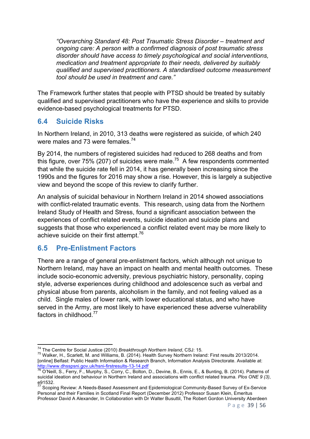*"Overarching Standard 48: Post Traumatic Stress Disorder – treatment and ongoing care: A person with a confirmed diagnosis of post traumatic stress disorder should have access to timely psychological and social interventions, medication and treatment appropriate to their needs, delivered by suitably qualified and supervised practitioners. A standardised outcome measurement tool should be used in treatment and care."*

The Framework further states that people with PTSD should be treated by suitably qualified and supervised practitioners who have the experience and skills to provide evidence-based psychological treatments for PTSD.

### **6.4 Suicide Risks**

In Northern Ireland, in 2010, 313 deaths were registered as suicide, of which 240 were males and 73 were females.<sup>74</sup>

By 2014, the numbers of registered suicides had reduced to 268 deaths and from this figure, over 75% (207) of suicides were male.<sup>75</sup> A few respondents commented that while the suicide rate fell in 2014, it has generally been increasing since the 1990s and the figures for 2016 may show a rise. However, this is largely a subjective view and beyond the scope of this review to clarify further.

An analysis of suicidal behaviour in Northern Ireland in 2014 showed associations with conflict-related traumatic events. This research, using data from the Northern Ireland Study of Health and Stress, found a significant association between the experiences of conflict related events, suicide ideation and suicide plans and suggests that those who experienced a conflict related event may be more likely to achieve suicide on their first attempt.<sup>76</sup>

### **6.5 Pre-Enlistment Factors**

There are a range of general pre-enlistment factors, which although not unique to Northern Ireland, may have an impact on health and mental health outcomes. These include socio-economic adversity, previous psychiatric history, personality, coping style, adverse experiences during childhood and adolescence such as verbal and physical abuse from parents, alcoholism in the family, and not feeling valued as a child. Single males of lower rank, with lower educational status, and who have served in the Army, are most likely to have experienced these adverse vulnerability factors in childhood.<sup>77</sup>

<sup>&</sup>lt;sup>74</sup> The Centre for Social Justice (2010) *Breakthrough Northern Ireland*, CSJ: 15.<br><sup>75</sup> Walker, H., Scarlett, M. and Williams, B. (2014). Health Survey Northern Ireland: First results 2013/2014. [online] Belfast: Public Health Information & Research Branch, Information Analysis Directorate. Available at: http://www.dhsspsni.gov.uk/hsni-firstresults-13-14.pdf<br><sup>76</sup> O'Neill, S., Ferry, F., Murphy, S., Corry, C., Bolton, D., Devine, B., Ennis, E., & Bunting, B. (2014). Patterns of

suicidal ideation and behaviour in Northern Ireland and associations with conflict related trauma. *Plos ONE 9 (3)*,  $e91532.$ 

<sup>&</sup>lt;sup>77</sup> Scoping Review: A Needs-Based Assessment and Epidemiological Community-Based Survey of Ex-Service Personal and their Families in Scotland Final Report (December 2012) Professor Susan Klein, Emeritus Professor David A Alexander, In Collaboration with Dr Walter Busuttil, The Robert Gordon University Aberdeen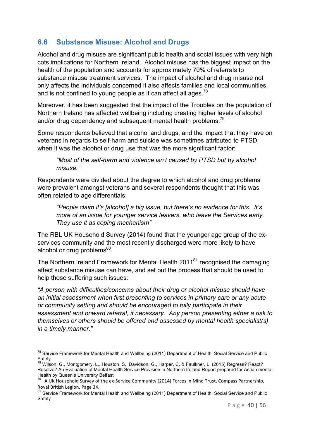### **6.6 Substance Misuse: Alcohol and Drugs**

Alcohol and drug misuse are significant public health and social issues with very high cots implications for Northern Ireland. Alcohol misuse has the biggest impact on the health of the population and accounts for approximately 70% of referrals to substance misuse treatment services. The impact of alcohol and drug misuse not only affects the individuals concerned it also affects families and local communities, and is not confined to young people as it can affect all ages.<sup>78</sup>

Moreover, it has been suggested that the impact of the Troubles on the population of Northern Ireland has affected wellbeing including creating higher levels of alcohol and/or drug dependency and subsequent mental health problems.<sup>79</sup>

Some respondents believed that alcohol and drugs, and the impact that they have on veterans in regards to self-harm and suicide was sometimes attributed to PTSD, when it was the alcohol or drug use that was the more significant factor:

*"Most of the self-harm and violence isn't caused by PTSD but by alcohol misuse."*

Respondents were divided about the degree to which alcohol and drug problems were prevalent amongst veterans and several respondents thought that this was often related to age differentials:

*"People claim it's [alcohol] a big issue, but there's no evidence for this. It's more of an issue for younger service leavers, who leave the Services early. They use it as coping mechanism"*

The RBL UK Household Survey (2014) found that the younger age group of the exservices community and the most recently discharged were more likely to have alcohol or drug problems $^{80}$ .

The Northern Ireland Framework for Mental Health 2011<sup>81</sup> recognised the damaging affect substance misuse can have, and set out the process that should be used to help those suffering such issues:

*"A person with difficulties/concerns about their drug or alcohol misuse should have an initial assessment when first presenting to services in primary care or any acute or community setting and should be encouraged to fully participate in their assessment and onward referral, if necessary. Any person presenting either a risk to themselves or others should be offered and assessed by mental health specialist(s) in a timely manner."*

 $^{78}$  Service Framework for Mental Health and Wellbeing (2011) Department of Health, Social Service and Public Safety

<sup>&</sup>lt;sup>79</sup> Wilson, G., Montgomery, L., Houston, S., Davidson, G., Harper, C. & Faulkner, L. (2015) Regress? React? Resolve? An Evaluation of Mental Health Service Provision in Northern Ireland Report prepared for Action mental Health by Queen's University Belfast<br>
<sup>80</sup> A UK U

A UK Household Survey of the ex-Service Community (2014) Forces in Mind Trust, Compass Partnership, Royal British Legion. Page 34.

<sup>&</sup>lt;sup>81</sup> Service Framework for Mental Health and Wellbeing (2011) Department of Health, Social Service and Public Safety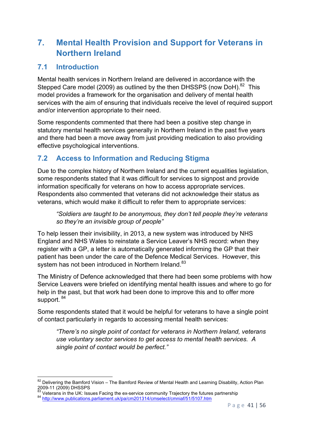# **7. Mental Health Provision and Support for Veterans in Northern Ireland**

### **7.1 Introduction**

Mental health services in Northern Ireland are delivered in accordance with the Stepped Care model (2009) as outlined by the then DHSSPS (now DoH).<sup>82</sup> This model provides a framework for the organisation and delivery of mental health services with the aim of ensuring that individuals receive the level of required support and/or intervention appropriate to their need.

Some respondents commented that there had been a positive step change in statutory mental health services generally in Northern Ireland in the past five years and there had been a move away from just providing medication to also providing effective psychological interventions.

## **7.2 Access to Information and Reducing Stigma**

Due to the complex history of Northern Ireland and the current equalities legislation, some respondents stated that it was difficult for services to signpost and provide information specifically for veterans on how to access appropriate services. Respondents also commented that veterans did not acknowledge their status as veterans, which would make it difficult to refer them to appropriate services:

*"Soldiers are taught to be anonymous, they don't tell people they're veterans so they're an invisible group of people"* 

To help lessen their invisibility, in 2013, a new system was introduced by NHS England and NHS Wales to reinstate a Service Leaver's NHS record: when they register with a GP, a letter is automatically generated informing the GP that their patient has been under the care of the Defence Medical Services. However, this system has not been introduced in Northern Ireland.<sup>83</sup>

The Ministry of Defence acknowledged that there had been some problems with how Service Leavers were briefed on identifying mental health issues and where to go for help in the past, but that work had been done to improve this and to offer more support. 84

Some respondents stated that it would be helpful for veterans to have a single point of contact particularly in regards to accessing mental health services:

*"There's no single point of contact for veterans in Northern Ireland, veterans use voluntary sector services to get access to mental health services. A single point of contact would be perfect."*

<sup>&</sup>lt;sup>82</sup> Delivering the Bamford Vision – The Bamford Review of Mental Health and Learning Disability, Action Plan

<sup>2009-11 (2009)</sup> DHSSPS<br>
<sup>83</sup> Veterans in the UK: Issues Facing the ex-service community Trajectory the futures partnership<br>
<sup>84</sup> http://www.publications.parliament.uk/pa/cm201314/cmselect/cmniaf/51/5107.htm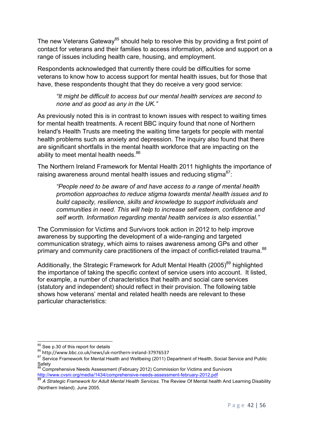The new Veterans Gateway<sup>85</sup> should help to resolve this by providing a first point of contact for veterans and their families to access information, advice and support on a range of issues including health care, housing, and employment.

Respondents acknowledged that currently there could be difficulties for some veterans to know how to access support for mental health issues, but for those that have, these respondents thought that they do receive a very good service:

*"It might be difficult to access but our mental health services are second to none and as good as any in the UK."*

As previously noted this is in contrast to known issues with respect to waiting times for mental health treatments. A recent BBC inquiry found that none of Northern Ireland's Health Trusts are meeting the waiting time targets for people with mental health problems such as anxiety and depression. The inquiry also found that there are significant shortfalls in the mental health workforce that are impacting on the ability to meet mental health needs.<sup>86</sup>

The Northern Ireland Framework for Mental Health 2011 highlights the importance of raising awareness around mental health issues and reducing stigma $^{87}$ :

*"People need to be aware of and have access to a range of mental health promotion approaches to reduce stigma towards mental health issues and to build capacity, resilience, skills and knowledge to support individuals and communities in need. This will help to increase self esteem, confidence and self worth. Information regarding mental health services is also essential."*

The Commission for Victims and Survivors took action in 2012 to help improve awareness by supporting the development of a wide-ranging and targeted communication strategy, which aims to raises awareness among GPs and other primary and community care practitioners of the impact of conflict-related trauma.<sup>88</sup>

Additionally, the Strategic Framework for Adult Mental Health (2005)<sup>89</sup> highlighted the importance of taking the specific context of service users into account. It listed, for example, a number of characteristics that health and social care services (statutory and independent) should reflect in their provision. The following table shows how veterans' mental and related health needs are relevant to these particular characteristics:

<sup>&</sup>lt;sup>85</sup> See p.30 of this report for details<br><sup>86</sup> http://www.bbc.co.uk/news/uk-northern-ireland-37976537<br><sup>87</sup> Service Framework for Mental Health and Wellbeing (2011) Department of Health, Social Service and Public Safety

 $88$  Comprehensive Needs Assessment (February 2012) Commission for Victims and Survivors http://www.cvsni.org/media/1434/comprehensive-needs-assessment-february-2012.pdf

<sup>&</sup>lt;sup>89</sup> A Strategic Framework for Adult Mental Health Services. The Review Of Mental health And Learning Disability (Northern Ireland). June 2005.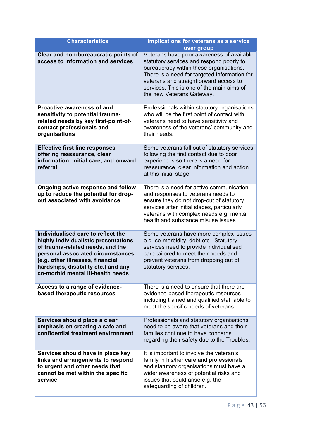| <b>Characteristics</b>                                                                                                                                                                                                        | Implications for veterans as a service                                                                                                                                                                                                                                                               |
|-------------------------------------------------------------------------------------------------------------------------------------------------------------------------------------------------------------------------------|------------------------------------------------------------------------------------------------------------------------------------------------------------------------------------------------------------------------------------------------------------------------------------------------------|
|                                                                                                                                                                                                                               | user group                                                                                                                                                                                                                                                                                           |
| Clear and non-bureaucratic points of<br>access to information and services                                                                                                                                                    | Veterans have poor awareness of available<br>statutory services and respond poorly to<br>bureaucracy within these organisations.<br>There is a need for targeted information for<br>veterans and straightforward access to<br>services. This is one of the main aims of<br>the new Veterans Gateway. |
| <b>Proactive awareness of and</b>                                                                                                                                                                                             | Professionals within statutory organisations                                                                                                                                                                                                                                                         |
| sensitivity to potential trauma-<br>related needs by key first-point-of-<br>contact professionals and<br>organisations                                                                                                        | who will be the first point of contact with<br>veterans need to have sensitivity and<br>awareness of the veterans' community and<br>their needs.                                                                                                                                                     |
| <b>Effective first line responses</b><br>offering reassurance, clear<br>information, initial care, and onward<br>referral                                                                                                     | Some veterans fall out of statutory services<br>following the first contact due to poor<br>experiences so there is a need for<br>reassurance, clear information and action<br>at this initial stage.                                                                                                 |
| Ongoing active response and follow                                                                                                                                                                                            | There is a need for active communication                                                                                                                                                                                                                                                             |
| up to reduce the potential for drop-<br>out associated with avoidance                                                                                                                                                         | and responses to veterans needs to<br>ensure they do not drop-out of statutory<br>services after initial stages, particularly<br>veterans with complex needs e.g. mental<br>health and substance misuse issues.                                                                                      |
| Individualised care to reflect the                                                                                                                                                                                            | Some veterans have more complex issues                                                                                                                                                                                                                                                               |
| highly individualistic presentations<br>of trauma-related needs, and the<br>personal associated circumstances<br>(e.g. other illnesses, financial<br>hardships, disability etc.) and any<br>co-morbid mental ill-health needs | e.g. co-morbidity, debt etc. Statutory<br>services need to provide individualised<br>care tailored to meet their needs and<br>prevent veterans from dropping out of<br>statutory services.                                                                                                           |
| Access to a range of evidence-<br>based therapeutic resources                                                                                                                                                                 | There is a need to ensure that there are<br>evidence-based therapeutic resources,<br>including trained and qualified staff able to<br>meet the specific needs of veterans.                                                                                                                           |
| Services should place a clear<br>emphasis on creating a safe and<br>confidential treatment environment                                                                                                                        | Professionals and statutory organisations<br>need to be aware that veterans and their<br>families continue to have concerns<br>regarding their safety due to the Troubles.                                                                                                                           |
| Services should have in place key<br>links and arrangements to respond<br>to urgent and other needs that<br>cannot be met within the specific<br>service                                                                      | It is important to involve the veteran's<br>family in his/her care and professionals<br>and statutory organisations must have a<br>wider awareness of potential risks and<br>issues that could arise e.g. the<br>safeguarding of children.                                                           |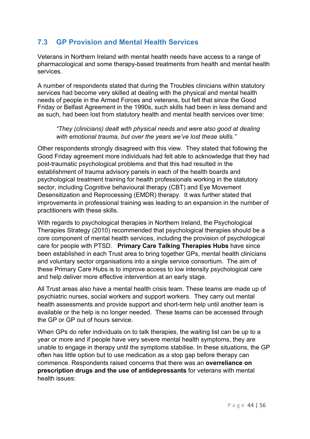### **7.3 GP Provision and Mental Health Services**

Veterans in Northern Ireland with mental health needs have access to a range of pharmacological and some therapy-based treatments from health and mental health services.

A number of respondents stated that during the Troubles clinicians within statutory services had become very skilled at dealing with the physical and mental health needs of people in the Armed Forces and veterans, but felt that since the Good Friday or Belfast Agreement in the 1990s, such skills had been in less demand and as such, had been lost from statutory health and mental health services over time:

*"They (clinicians) dealt with physical needs and were also good at dealing with emotional trauma, but over the years we've lost these skills."*

Other respondents strongly disagreed with this view. They stated that following the Good Friday agreement more individuals had felt able to acknowledge that they had post-traumatic psychological problems and that this had resulted in the establishment of trauma advisory panels in each of the health boards and psychological treatment training for health professionals working in the statutory sector, including Cognitive behavioural therapy (CBT) and Eye Movement Desensitization and Reprocessing (EMDR) therapy. It was further stated that improvements in professional training was leading to an expansion in the number of practitioners with these skills.

With regards to psychological therapies in Northern Ireland, the Psychological Therapies Strategy (2010) recommended that psychological therapies should be a core component of mental health services, including the provision of psychological care for people with PTSD. **Primary Care Talking Therapies Hubs** have since been established in each Trust area to bring together GPs, mental health clinicians and voluntary sector organisations into a single service consortium. The aim of these Primary Care Hubs is to improve access to low intensity psychological care and help deliver more effective intervention at an early stage.

All Trust areas also have a mental health crisis team. These teams are made up of psychiatric nurses, social workers and support workers. They carry out mental health assessments and provide support and short-term help until another team is available or the help is no longer needed. These teams can be accessed through the GP or GP out of hours service.

When GPs do refer individuals on to talk therapies, the waiting list can be up to a year or more and if people have very severe mental health symptoms, they are unable to engage in therapy until the symptoms stabilise. In these situations, the GP often has little option but to use medication as a stop gap before therapy can commence. Respondents raised concerns that there was an **overreliance on prescription drugs and the use of antidepressants** for veterans with mental health issues: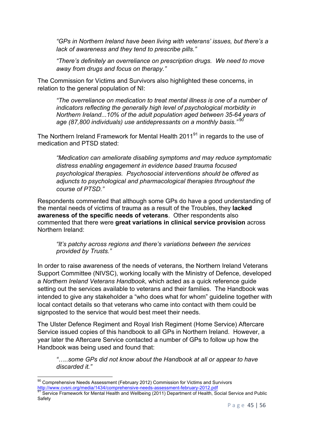*"GPs in Northern Ireland have been living with veterans' issues, but there's a lack of awareness and they tend to prescribe pills."*

*"There's definitely an overreliance on prescription drugs. We need to move away from drugs and focus on therapy."*

The Commission for Victims and Survivors also highlighted these concerns, in relation to the general population of NI:

*"The overreliance on medication to treat mental illness is one of a number of indicators reflecting the generally high level of psychological morbidity in Northern Ireland...10% of the adult population aged between 35-64 years of age (87,800 individuals) use antidepressants on a monthly basis."* <sup>90</sup>

The Northern Ireland Framework for Mental Health 2011 $91$  in regards to the use of medication and PTSD stated:

*"Medication can ameliorate disabling symptoms and may reduce symptomatic distress enabling engagement in evidence based trauma focused psychological therapies. Psychosocial interventions should be offered as adjuncts to psychological and pharmacological therapies throughout the course of PTSD."*

Respondents commented that although some GPs do have a good understanding of the mental needs of victims of trauma as a result of the Troubles, they **lacked awareness of the specific needs of veterans**. Other respondents also commented that there were **great variations in clinical service provision** across Northern Ireland:

*"It's patchy across regions and there's variations between the services provided by Trusts."*

In order to raise awareness of the needs of veterans, the Northern Ireland Veterans Support Committee (NIVSC), working locally with the Ministry of Defence, developed a *Northern Ireland Veterans Handbook*, which acted as a quick reference guide setting out the services available to veterans and their families. The Handbook was intended to give any stakeholder a "who does what for whom" guideline together with local contact details so that veterans who came into contact with them could be signposted to the service that would best meet their needs.

The Ulster Defence Regiment and Royal Irish Regiment (Home Service) Aftercare Service issued copies of this handbook to all GPs in Northern Ireland. However, a year later the Aftercare Service contacted a number of GPs to follow up how the Handbook was being used and found that:

*"…..some GPs did not know about the Handbook at all or appear to have discarded it."*

<sup>&</sup>lt;sup>90</sup> Comprehensive Needs Assessment (February 2012) Commission for Victims and Survivors

http://www.cvsni.org/media/1434/comprehensive-needs-assessment-february-2012.pdf<br><sup>91</sup> Service Framework for Mental Health and Wellbeing (2011) Department of Health, Social Service and Public Safety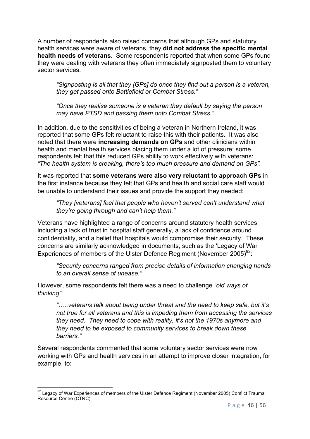A number of respondents also raised concerns that although GPs and statutory health services were aware of veterans, they **did not address the specific mental health needs of veterans**. Some respondents reported that when some GPs found they were dealing with veterans they often immediately signposted them to voluntary sector services:

*"Signposting is all that they [GPs] do once they find out a person is a veteran, they get passed onto Battlefield or Combat Stress."*

*"Once they realise someone is a veteran they default by saying the person may have PTSD and passing them onto Combat Stress."*

In addition, due to the sensitivities of being a veteran in Northern Ireland, it was reported that some GPs felt reluctant to raise this with their patients. It was also noted that there were **increasing demands on GPs** and other clinicians within health and mental health services placing them under a lot of pressure; some respondents felt that this reduced GPs ability to work effectively with veterans: *"The health system is creaking, there's too much pressure and demand on GPs".*

It was reported that **some veterans were also very reluctant to approach GPs** in the first instance because they felt that GPs and health and social care staff would be unable to understand their issues and provide the support they needed:

*"They [veterans] feel that people who haven't served can't understand what they're going through and can't help them."*

Veterans have highlighted a range of concerns around statutory health services including a lack of trust in hospital staff generally, a lack of confidence around confidentiality, and a belief that hospitals would compromise their security. These concerns are similarly acknowledged in documents, such as the 'Legacy of War Experiences of members of the Ulster Defence Regiment (November 2005)<sup>92</sup>:

*"Security concerns ranged from precise details of information changing hands to an overall sense of unease."*

However, some respondents felt there was a need to challenge *"old ways of thinking"*:

*"…..veterans talk about being under threat and the need to keep safe, but it's not true for all veterans and this is impeding them from accessing the services they need. They need to cope with reality, it's not the 1970s anymore and they need to be exposed to community services to break down these barriers."*

Several respondents commented that some voluntary sector services were now working with GPs and health services in an attempt to improve closer integration, for example, to:

<sup>92</sup> Legacy of War Experiences of members of the Ulster Defence Regiment (November 2005) Conflict Trauma Resource Centre (CTRC)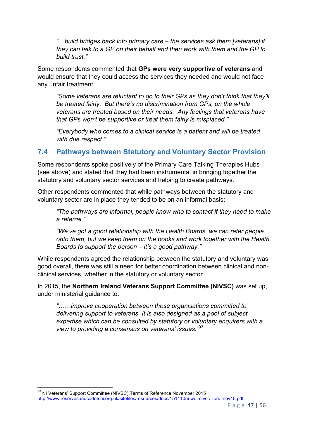*"…build bridges back into primary care – the services ask them [veterans] if they can talk to a GP on their behalf and then work with them and the GP to build trust."*

Some respondents commented that **GPs were very supportive of veterans** and would ensure that they could access the services they needed and would not face any unfair treatment:

*"Some veterans are reluctant to go to their GPs as they don't think that they'll be treated fairly. But there's no discrimination from GPs, on the whole veterans are treated based on their needs. Any feelings that veterans have that GPs won't be supportive or treat them fairly is misplaced."*

*"Everybody who comes to a clinical service is a patient and will be treated with due respect."*

### **7.4 Pathways between Statutory and Voluntary Sector Provision**

Some respondents spoke positively of the Primary Care Talking Therapies Hubs (see above) and stated that they had been instrumental in bringing together the statutory and voluntary sector services and helping to create pathways.

Other respondents commented that while pathways between the statutory and voluntary sector are in place they tended to be on an informal basis:

*"The pathways are informal, people know who to contact if they need to make a referral."*

*"We've got a good relationship with the Health Boards, we can refer people onto them, but we keep them on the books and work together with the Health Boards to support the person – it's a good pathway."*

While respondents agreed the relationship between the statutory and voluntary was good overall, there was still a need for better coordination between clinical and nonclinical services, whether in the statutory or voluntary sector.

In 2015, the **Northern Ireland Veterans Support Committee (NIVSC)** was set up, under ministerial guidance to:

*"……improve cooperation between those organisations committed to delivering support to veterans. It is also designed as a pool of subject expertise which can be consulted by statutory or voluntary enquirers with a view to providing a consensus on veterans' issues."*<sup>93</sup>

<sup>93</sup> NI Veterans' Support Committee (NIVSC) Terms of Reference November 2015 http://www.reservesandcadetsni.org.uk/sitefiles/resources/docs/151110ni-wel-nivsc\_tors\_nov15.pdf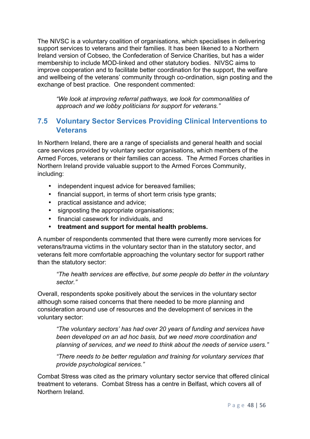The NIVSC is a voluntary coalition of organisations, which specialises in delivering support services to veterans and their families. It has been likened to a Northern Ireland version of Cobseo, the Confederation of Service Charities, but has a wider membership to include MOD-linked and other statutory bodies. NIVSC aims to improve cooperation and to facilitate better coordination for the support, the welfare and wellbeing of the veterans' community through co-ordination, sign posting and the exchange of best practice. One respondent commented:

*"We look at improving referral pathways, we look for commonalities of approach and we lobby politicians for support for veterans."*

### **7.5 Voluntary Sector Services Providing Clinical Interventions to Veterans**

In Northern Ireland, there are a range of specialists and general health and social care services provided by voluntary sector organisations, which members of the Armed Forces, veterans or their families can access. The Armed Forces charities in Northern Ireland provide valuable support to the Armed Forces Community, including:

- independent inquest advice for bereaved families;
- financial support, in terms of short term crisis type grants;
- practical assistance and advice;
- signposting the appropriate organisations;
- financial casework for individuals, and
- **treatment and support for mental health problems.**

A number of respondents commented that there were currently more services for veterans/trauma victims in the voluntary sector than in the statutory sector, and veterans felt more comfortable approaching the voluntary sector for support rather than the statutory sector:

*"The health services are effective, but some people do better in the voluntary sector."*

Overall, respondents spoke positively about the services in the voluntary sector although some raised concerns that there needed to be more planning and consideration around use of resources and the development of services in the voluntary sector:

*"The voluntary sectors' has had over 20 years of funding and services have been developed on an ad hoc basis, but we need more coordination and planning of services, and we need to think about the needs of service users."*

*"There needs to be better regulation and training for voluntary services that provide psychological services."*

Combat Stress was cited as the primary voluntary sector service that offered clinical treatment to veterans. Combat Stress has a centre in Belfast, which covers all of Northern Ireland.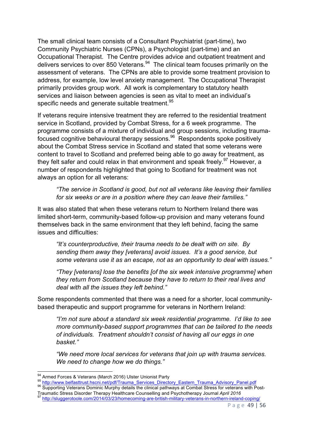The small clinical team consists of a Consultant Psychiatrist (part-time), two Community Psychiatric Nurses (CPNs), a Psychologist (part-time) and an Occupational Therapist. The Centre provides advice and outpatient treatment and delivers services to over 850 Veterans.<sup>94</sup> The clinical team focuses primarily on the assessment of veterans. The CPNs are able to provide some treatment provision to address, for example, low level anxiety management. The Occupational Therapist primarily provides group work. All work is complementary to statutory health services and liaison between agencies is seen as vital to meet an individual's specific needs and generate suitable treatment.<sup>95</sup>

If veterans require intensive treatment they are referred to the residential treatment service in Scotland, provided by Combat Stress, for a 6 week programme. The programme consists of a mixture of individual and group sessions, including traumafocused cognitive behavioural therapy sessions.<sup>96</sup> Respondents spoke positively about the Combat Stress service in Scotland and stated that some veterans were content to travel to Scotland and preferred being able to go away for treatment, as they felt safer and could relax in that environment and speak freely.<sup>97</sup> However, a number of respondents highlighted that going to Scotland for treatment was not always an option for all veterans:

*"The service in Scotland is good, but not all veterans like leaving their families for six weeks or are in a position where they can leave their families."*

It was also stated that when these veterans return to Northern Ireland there was limited short-term, community-based follow-up provision and many veterans found themselves back in the same environment that they left behind, facing the same issues and difficulties:

*"It's counterproductive, their trauma needs to be dealt with on site. By sending them away they [veterans] avoid issues. It's a good service, but some veterans use it as an escape, not as an opportunity to deal with issues."*

*"They [veterans] lose the benefits [of the six week intensive programme] when they return from Scotland because they have to return to their real lives and deal with all the issues they left behind."*

Some respondents commented that there was a need for a shorter, local communitybased therapeutic and support programme for veterans in Northern Ireland:

*"I'm not sure about a standard six week residential programme. I'd like to see more community-based support programmes that can be tailored to the needs of individuals. Treatment shouldn't consist of having all our eggs in one basket."*

*"We need more local services for veterans that join up with trauma services. We need to change how we do things."*

- Traumatic Stress Disorder Therapy Healthcare Counselling and Psychotherapy Journal *April 2016* <sup>97</sup> http://sluggerotoole.com/2014/03/23/homecoming-are-british-military-veterans-in-northern-ireland-coping/
- 

<sup>&</sup>lt;sup>94</sup> Armed Forces & Veterans (March 2016) Ulster Unionist Party<br><sup>95</sup> http://www.belfasttrust.hscni.net/pdf/Trauma\_Services\_Directory\_Eastern\_Trauma\_Advisory\_Panel.pdf<br><sup>96</sup> Supporting Veterans Dominic Murphy details the cli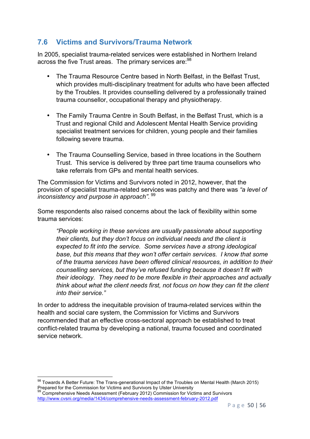### **7.6 Victims and Survivors/Trauma Network**

In 2005, specialist trauma-related services were established in Northern Ireland across the five Trust areas. The primary services are:<sup>98</sup>

- The Trauma Resource Centre based in North Belfast, in the Belfast Trust, which provides multi-disciplinary treatment for adults who have been affected by the Troubles. It provides counselling delivered by a professionally trained trauma counsellor, occupational therapy and physiotherapy.
- The Family Trauma Centre in South Belfast, in the Belfast Trust, which is a Trust and regional Child and Adolescent Mental Health Service providing specialist treatment services for children, young people and their families following severe trauma.
- The Trauma Counselling Service, based in three locations in the Southern Trust. This service is delivered by three part time trauma counsellors who take referrals from GPs and mental health services.

The Commission for Victims and Survivors noted in 2012, however, that the provision of specialist trauma-related services was patchy and there was *"a level of inconsistency and purpose in approach".* <sup>99</sup>

Some respondents also raised concerns about the lack of flexibility within some trauma services:

*"People working in these services are usually passionate about supporting their clients, but they don't focus on individual needs and the client is expected to fit into the service. Some services have a strong ideological base, but this means that they won't offer certain services. I know that some of the trauma services have been offered clinical resources, in addition to their counselling services, but they've refused funding because it doesn't fit with their ideology. They need to be more flexible in their approaches and actually think about what the client needs first, not focus on how they can fit the client into their service."* 

In order to address the inequitable provision of trauma-related services within the health and social care system, the Commission for Victims and Survivors recommended that an effective cross-sectoral approach be established to treat conflict-related trauma by developing a national, trauma focused and coordinated service network.

<sup>98</sup> Towards A Better Future: The Trans-generational Impact of the Troubles on Mental Health (March 2015) Prepared for the Commission for Victims and Survivors by Ulster University 99 Comprehensive Needs Assessment (February 2012) Commission for Victims and Survivors

http://www.cvsni.org/media/1434/comprehensive-needs-assessment-february-2012.pdf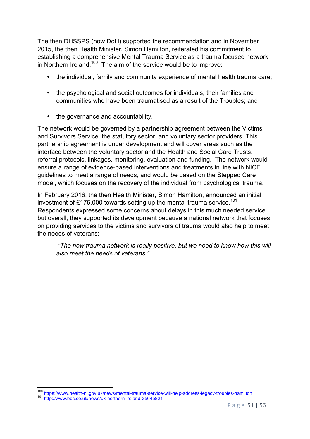The then DHSSPS (now DoH) supported the recommendation and in November 2015, the then Health Minister, Simon Hamilton, reiterated his commitment to establishing a comprehensive Mental Trauma Service as a trauma focused network in Northern Ireland.<sup>100</sup> The aim of the service would be to improve:

- the individual, family and community experience of mental health trauma care;
- the psychological and social outcomes for individuals, their families and communities who have been traumatised as a result of the Troubles; and
- the governance and accountability.

The network would be governed by a partnership agreement between the Victims and Survivors Service, the statutory sector, and voluntary sector providers. This partnership agreement is under development and will cover areas such as the interface between the voluntary sector and the Health and Social Care Trusts, referral protocols, linkages, monitoring, evaluation and funding. The network would ensure a range of evidence-based interventions and treatments in line with NICE guidelines to meet a range of needs, and would be based on the Stepped Care model, which focuses on the recovery of the individual from psychological trauma.

In February 2016, the then Health Minister, Simon Hamilton, announced an initial investment of £175,000 towards setting up the mental trauma service.<sup>101</sup> Respondents expressed some concerns about delays in this much needed service but overall, they supported its development because a national network that focuses on providing services to the victims and survivors of trauma would also help to meet the needs of veterans:

*"The new trauma network is really positive, but we need to know how this will also meet the needs of veterans."*

<sup>100</sup> https://www.health-ni.gov.uk/news/mental-trauma-service-will-help-address-legacy-troubles-hamilton http://www.bbc.co.uk/news/uk-northern-ireland-35645821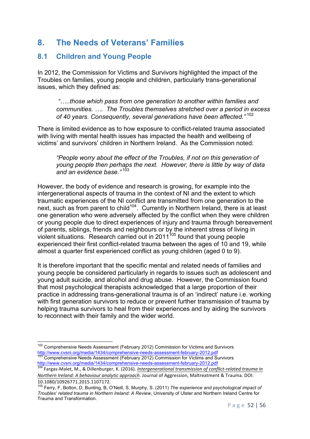# **8. The Needs of Veterans' Families**

#### **8.1 Children and Young People**

In 2012, the Commission for Victims and Survivors highlighted the impact of the Troubles on families, young people and children, particularly trans-generational issues, which they defined as:

*"…..those which pass from one generation to another within families and communities. …. The Troubles themselves stretched over a period in excess of 40 years. Consequently, several generations have been affected."* <sup>102</sup>

There is limited evidence as to how exposure to conflict-related trauma associated with living with mental health issues has impacted the health and wellbeing of victims' and survivors' children in Northern Ireland. As the Commission noted:

*"People worry about the effect of the Troubles, if not on this generation of young people then perhaps the next. However, there is little by way of data and an evidence base."* <sup>103</sup>

However, the body of evidence and research is growing, for example into the intergenerational aspects of trauma in the context of NI and the extent to which traumatic experiences of the NI conflict are transmitted from one generation to the next, such as from parent to child<sup>104</sup>. Currently in Northern Ireland, there is at least one generation who were adversely affected by the conflict when they were children or young people due to direct experiences of injury and trauma through bereavement of parents, siblings, friends and neighbours or by the inherent stress of living in violent situations. Research carried out in  $2011^{105}$  found that young people experienced their first conflict-related trauma between the ages of 10 and 19, while almost a quarter first experienced conflict as young children (aged 0 to 9).

It is therefore important that the specific mental and related needs of families and young people be considered particularly in regards to issues such as adolescent and young adult suicide, and alcohol and drug abuse. However, the Commission found that most psychological therapists acknowledged that a large proportion of their practice in addressing trans-generational trauma is of an 'indirect' nature i.e. working with first generation survivors to reduce or prevent further transmission of trauma by helping trauma survivors to heal from their experiences and by aiding the survivors to reconnect with their family and the wider world.

<sup>&</sup>lt;sup>102</sup> Comprehensive Needs Assessment (February 2012) Commission for Victims and Survivors http://www.cvsni.org/media/1434/comprehensive-needs-assessment-february-2012.pdf<br><sup>103</sup> Comprehensive Needs Assessment (February 2012) Commission for Victims and Survivors

http://www.cvsni.org/media/1434/comprehensive-needs-assessment-february-2012.pdf<br><sup>104</sup> Fargas-Malet, M., & Dillenburger, K. (2016). *Intergenerational transmission of conflict-related trauma in Northern Ireland: A behaviour analytic approach.* Journal of Aggression, Maltreatment & Trauma. DOI: 10.1080/10926771.2015.1107172. 

<sup>105</sup> Ferry, F, Bolton, D, Bunting, B, O'Neill, S, Murphy, S. (2011) *The experience and psychological impact of Troubles' related trauma in Northern Ireland: A Review*, University of Ulster and Northern Ireland Centre for Trauma and Transformation.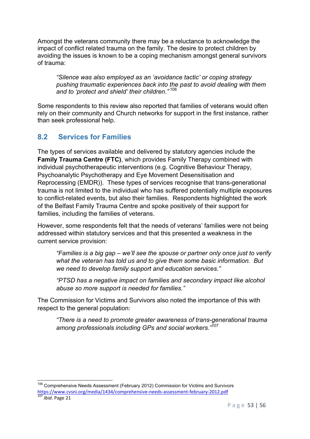Amongst the veterans community there may be a reluctance to acknowledge the impact of conflict related trauma on the family. The desire to protect children by avoiding the issues is known to be a coping mechanism amongst general survivors of trauma:

*"Silence was also employed as an 'avoidance tactic' or coping strategy pushing traumatic experiences back into the past to avoid dealing with them and to 'protect and shield' their children."* <sup>106</sup>

Some respondents to this review also reported that families of veterans would often rely on their community and Church networks for support in the first instance, rather than seek professional help.

### **8.2 Services for Families**

The types of services available and delivered by statutory agencies include the **Family Trauma Centre (FTC)**, which provides Family Therapy combined with individual psychotherapeutic interventions (e.g. Cognitive Behaviour Therapy, Psychoanalytic Psychotherapy and Eye Movement Desensitisation and Reprocessing (EMDR)). These types of services recognise that trans-generational trauma is not limited to the individual who has suffered potentially multiple exposures to conflict-related events, but also their families. Respondents highlighted the work of the Belfast Family Trauma Centre and spoke positively of their support for families, including the families of veterans.

However, some respondents felt that the needs of veterans' families were not being addressed within statutory services and that this presented a weakness in the current service provision:

*"Families is a big gap – we'll see the spouse or partner only once just to verify what the veteran has told us and to give them some basic information. But we need to develop family support and education services."*

*"PTSD has a negative impact on families and secondary impact like alcohol abuse so more support is needed for families."*

The Commission for Victims and Survivors also noted the importance of this with respect to the general population:

*"There is a need to promote greater awareness of trans-generational trauma among professionals including GPs and social workers."107*

<sup>&</sup>lt;sup>106</sup> Comprehensive Needs Assessment (February 2012) Commission for Victims and Survivors https://www.cvsni.org/media/1434/comprehensive-needs-assessment-february-2012.pdf<br><sup>107</sup> *Ibid*. Page 21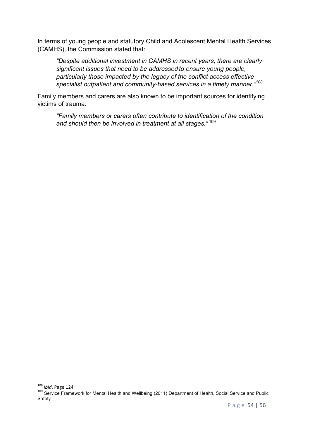In terms of young people and statutory Child and Adolescent Mental Health Services (CAMHS), the Commission stated that:

*"Despite additional investment in CAMHS in recent years, there are clearly significant issues that need to be addressed to ensure young people, particularly those impacted by the legacy of the conflict access effective specialist outpatient and community-based services in a timely manner." 108*

Family members and carers are also known to be important sources for identifying victims of trauma:

*"Family members or carers often contribute to identification of the condition and should then be involved in treatment at all stages."* <sup>109</sup>

 

<sup>&</sup>lt;sup>108</sup> *Ibid*. Page 124<br><sup>109</sup> Service Framework for Mental Health and Wellbeing (2011) Department of Health, Social Service and Public Safety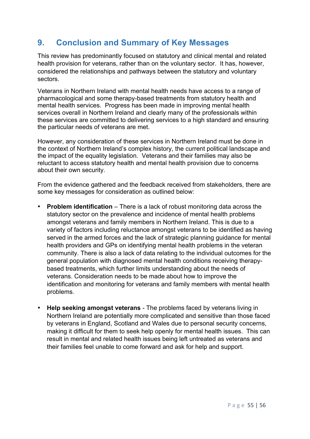# **9. Conclusion and Summary of Key Messages**

This review has predominantly focused on statutory and clinical mental and related health provision for veterans, rather than on the voluntary sector. It has, however, considered the relationships and pathways between the statutory and voluntary sectors.

Veterans in Northern Ireland with mental health needs have access to a range of pharmacological and some therapy-based treatments from statutory health and mental health services. Progress has been made in improving mental health services overall in Northern Ireland and clearly many of the professionals within these services are committed to delivering services to a high standard and ensuring the particular needs of veterans are met.

However, any consideration of these services in Northern Ireland must be done in the context of Northern Ireland's complex history, the current political landscape and the impact of the equality legislation. Veterans and their families may also be reluctant to access statutory health and mental health provision due to concerns about their own security.

From the evidence gathered and the feedback received from stakeholders, there are some key messages for consideration as outlined below:

- **Problem identification** There is a lack of robust monitoring data across the statutory sector on the prevalence and incidence of mental health problems amongst veterans and family members in Northern Ireland. This is due to a variety of factors including reluctance amongst veterans to be identified as having served in the armed forces and the lack of strategic planning guidance for mental health providers and GPs on identifying mental health problems in the veteran community. There is also a lack of data relating to the individual outcomes for the general population with diagnosed mental health conditions receiving therapybased treatments, which further limits understanding about the needs of veterans. Consideration needs to be made about how to improve the identification and monitoring for veterans and family members with mental health problems.
- **Help seeking amongst veterans** The problems faced by veterans living in Northern Ireland are potentially more complicated and sensitive than those faced by veterans in England, Scotland and Wales due to personal security concerns, making it difficult for them to seek help openly for mental health issues. This can result in mental and related health issues being left untreated as veterans and their families feel unable to come forward and ask for help and support.